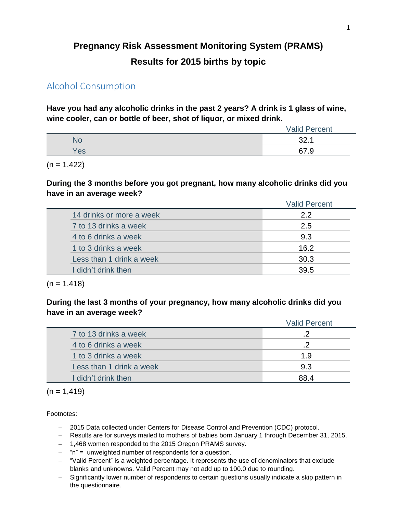# **Pregnancy Risk Assessment Monitoring System (PRAMS) Results for 2015 births by topic**

## Alcohol Consumption

**Have you had any alcoholic drinks in the past 2 years? A drink is 1 glass of wine, wine cooler, can or bottle of beer, shot of liquor, or mixed drink.**

|     | <b>Valid Percent</b> |  |  |  |  |
|-----|----------------------|--|--|--|--|
| NU. | າາ                   |  |  |  |  |
| Yes | 67<br>- 0            |  |  |  |  |
|     |                      |  |  |  |  |

 $(n = 1,422)$ 

#### **During the 3 months before you got pregnant, how many alcoholic drinks did you have in an average week?**

|                          | <b>Valid Percent</b> |  |  |  |
|--------------------------|----------------------|--|--|--|
| 14 drinks or more a week | 2.2                  |  |  |  |
| 7 to 13 drinks a week    | 2.5                  |  |  |  |
| 4 to 6 drinks a week     | 9.3                  |  |  |  |
| 1 to 3 drinks a week     | 16.2                 |  |  |  |
| Less than 1 drink a week | 30.3                 |  |  |  |
| I didn't drink then      | 39.5                 |  |  |  |

 $(n = 1, 418)$ 

### **During the last 3 months of your pregnancy, how many alcoholic drinks did you have in an average week?**

|                          | <b>Valid Percent</b> |  |  |
|--------------------------|----------------------|--|--|
| 7 to 13 drinks a week    |                      |  |  |
| 4 to 6 drinks a week     |                      |  |  |
| 1 to 3 drinks a week     | 19                   |  |  |
| Less than 1 drink a week | 9.3                  |  |  |
| I didn't drink then      | 88 4                 |  |  |

 $(n = 1, 419)$ 

- 2015 Data collected under Centers for Disease Control and Prevention (CDC) protocol.
- Results are for surveys mailed to mothers of babies born January 1 through December 31, 2015.
- 1,468 women responded to the 2015 Oregon PRAMS survey.
- $-$  "n" = unweighted number of respondents for a question.
- "Valid Percent" is a weighted percentage. It represents the use of denominators that exclude blanks and unknowns. Valid Percent may not add up to 100.0 due to rounding.
- Significantly lower number of respondents to certain questions usually indicate a skip pattern in the questionnaire.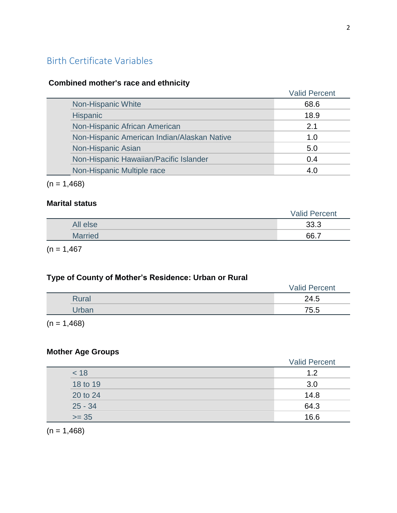# Birth Certificate Variables

### **Combined mother's race and ethnicity**

|                                             | <b>Valid Percent</b> |
|---------------------------------------------|----------------------|
| Non-Hispanic White                          | 68.6                 |
| <b>Hispanic</b>                             | 18.9                 |
| Non-Hispanic African American               | 2.1                  |
| Non-Hispanic American Indian/Alaskan Native | 1.0                  |
| Non-Hispanic Asian                          | 5.0                  |
| Non-Hispanic Hawaiian/Pacific Islander      | 0.4                  |
| Non-Hispanic Multiple race                  | 4.0                  |

 $(n = 1,468)$ 

#### **Marital status**

|                | <b>Valid Percent</b> |
|----------------|----------------------|
| All else       | 33.3                 |
| <b>Married</b> | 66.7                 |

 $(n = 1,467)$ 

## **Type of County of Mother's Residence: Urban or Rural**

|       | <b>Valid Percent</b> |
|-------|----------------------|
| Rural | 24.5                 |
| Urban | 75.5                 |

 $(n = 1,468)$ 

### **Mother Age Groups**

|           | <b>Valid Percent</b> |
|-----------|----------------------|
| < 18      | 1.2                  |
| 18 to 19  | 3.0                  |
| 20 to 24  | 14.8                 |
| $25 - 34$ | 64.3                 |
| $>= 35$   | 16.6                 |

 $(n = 1,468)$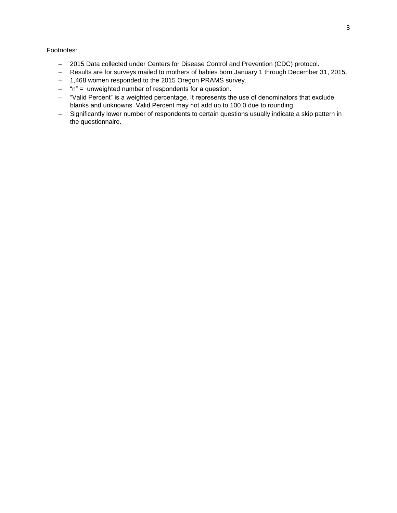- 2015 Data collected under Centers for Disease Control and Prevention (CDC) protocol.
- Results are for surveys mailed to mothers of babies born January 1 through December 31, 2015.
- 1,468 women responded to the 2015 Oregon PRAMS survey.
- $-$  "n" = unweighted number of respondents for a question.
- "Valid Percent" is a weighted percentage. It represents the use of denominators that exclude blanks and unknowns. Valid Percent may not add up to 100.0 due to rounding.
- Significantly lower number of respondents to certain questions usually indicate a skip pattern in the questionnaire.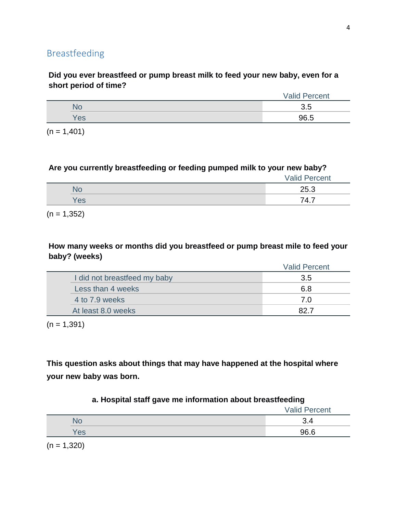### **Did you ever breastfeed or pump breast milk to feed your new baby, even for a short period of time?**

|    | <b>Valid Percent</b> |
|----|----------------------|
|    | -                    |
| es | 96.5                 |

 $(n = 1,401)$ 

### **Are you currently breastfeeding or feeding pumped milk to your new baby?**

|     | <b>Valid Percent</b> |
|-----|----------------------|
| N٥  | 25.3                 |
| Yes | 74.7                 |

 $(n = 1,352)$ 

### **How many weeks or months did you breastfeed or pump breast mile to feed your baby? (weeks)**

|                              | <b>Valid Percent</b> |
|------------------------------|----------------------|
| I did not breastfeed my baby | 3.5                  |
| Less than 4 weeks            | 6.8                  |
| 4 to 7.9 weeks               | 7.0                  |
| At least 8.0 weeks           | 82 Z                 |

 $(n = 1,391)$ 

**This question asks about things that may have happened at the hospital where your new baby was born.**

### **a. Hospital staff gave me information about breastfeeding**

|                          |                | <b>Valid Percent</b> |
|--------------------------|----------------|----------------------|
|                          | ٩О             | ٦.૫                  |
|                          | Yes            | 96.6                 |
| $\overline{\phantom{a}}$ | $\overline{1}$ |                      |

 $(n = 1,320)$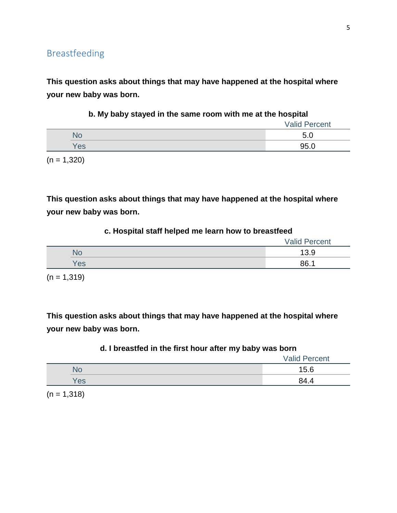**This question asks about things that may have happened at the hospital where your new baby was born.**

|  |  |  |  |  |  |  | b. My baby stayed in the same room with me at the hospital |  |  |  |  |  |  |  |  |
|--|--|--|--|--|--|--|------------------------------------------------------------|--|--|--|--|--|--|--|--|
|--|--|--|--|--|--|--|------------------------------------------------------------|--|--|--|--|--|--|--|--|

|                 | <b>Valid Percent</b> |
|-----------------|----------------------|
| NG              | Б.                   |
| 'e <sub>s</sub> | 95.0                 |

 $(n = 1,320)$ 

**This question asks about things that may have happened at the hospital where your new baby was born.**

#### **c. Hospital staff helped me learn how to breastfeed**

|     | <b>Valid Percent</b> |
|-----|----------------------|
| No  | 13.9                 |
| Yes | 86.1                 |

 $(n = 1, 319)$ 

**This question asks about things that may have happened at the hospital where your new baby was born.**

#### **d. I breastfed in the first hour after my baby was born**

|     | <b>Valid Percent</b> |
|-----|----------------------|
|     | 15.6                 |
| Yes | 84.4                 |

 $(n = 1,318)$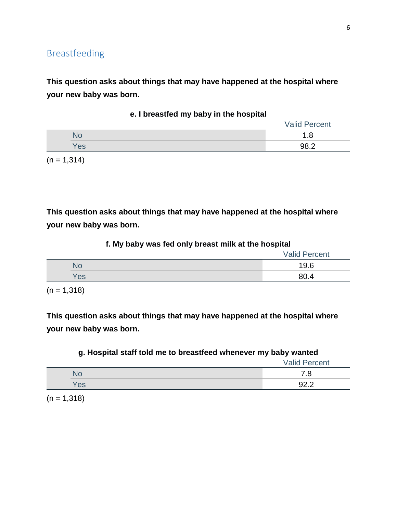**This question asks about things that may have happened at the hospital where your new baby was born.**

|     | <b>Valid Percent</b> |
|-----|----------------------|
| No  | 1.O                  |
| Yes | 982                  |
|     |                      |

**e. I breastfed my baby in the hospital**

 $(n = 1, 314)$ 

**This question asks about things that may have happened at the hospital where your new baby was born.**

|  |  |  |  | f. My baby was fed only breast milk at the hospital |  |  |
|--|--|--|--|-----------------------------------------------------|--|--|
|--|--|--|--|-----------------------------------------------------|--|--|

|     | <b>Valid Percent</b> |
|-----|----------------------|
| NG  | 19.6                 |
| Yes | 80.4                 |

 $(n = 1,318)$ 

**This question asks about things that may have happened at the hospital where your new baby was born.**

#### **g. Hospital staff told me to breastfeed whenever my baby wanted**

|     | <b>Valid Percent</b> |
|-----|----------------------|
|     |                      |
| Yes | ററ റ                 |

 $(n = 1,318)$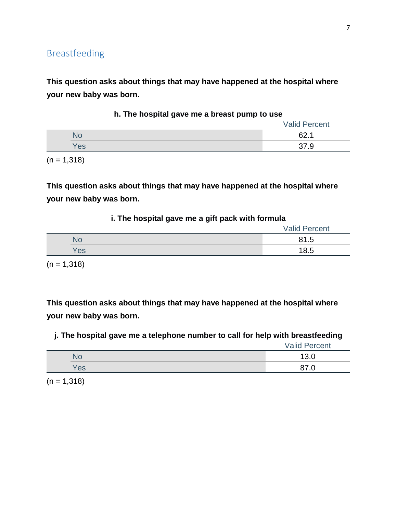**This question asks about things that may have happened at the hospital where your new baby was born.**

|     | <b>Valid Percent</b> |
|-----|----------------------|
| No  | ຂາ<br>. .            |
| Yes |                      |
|     |                      |

**h. The hospital gave me a breast pump to use**

 $(n = 1,318)$ 

**This question asks about things that may have happened at the hospital where your new baby was born.**

#### **i. The hospital gave me a gift pack with formula**

|     | <b>Valid Percent</b> |
|-----|----------------------|
|     | 81.5                 |
| Yes | 18.5                 |
|     |                      |

 $(n = 1,318)$ 

**This question asks about things that may have happened at the hospital where your new baby was born.**

**j. The hospital gave me a telephone number to call for help with breastfeeding**

Valid Percent

|     | v.v |
|-----|-----|
| 'es |     |

 $(n = 1,318)$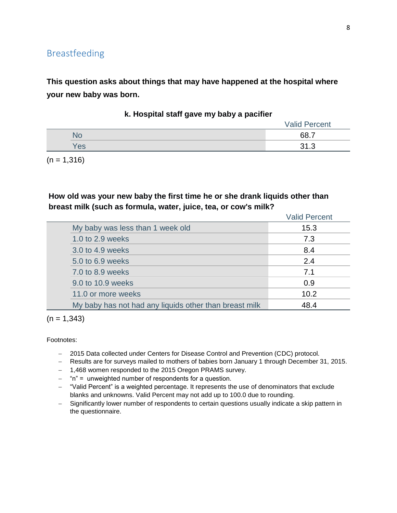**This question asks about things that may have happened at the hospital where your new baby was born.**

|     | <b>Valid Percent</b> |
|-----|----------------------|
| NО  | 68.7                 |
| Yes | <b>O</b> 4<br>ົ      |

**k. Hospital staff gave my baby a pacifier**

 $(n = 1, 316)$ 

#### **How old was your new baby the first time he or she drank liquids other than breast milk (such as formula, water, juice, tea, or cow's milk?**

|                                                        | <b>Valid Percent</b> |
|--------------------------------------------------------|----------------------|
| My baby was less than 1 week old                       | 15.3                 |
| 1.0 to 2.9 weeks                                       | 7.3                  |
| 3.0 to 4.9 weeks                                       | 8.4                  |
| 5.0 to 6.9 weeks                                       | 2.4                  |
| 7.0 to 8.9 weeks                                       | 7.1                  |
| 9.0 to 10.9 weeks                                      | 0.9                  |
| 11.0 or more weeks                                     | 10.2                 |
| My baby has not had any liquids other than breast milk | 48.4                 |

 $(n = 1,343)$ 

- 2015 Data collected under Centers for Disease Control and Prevention (CDC) protocol.
- Results are for surveys mailed to mothers of babies born January 1 through December 31, 2015.
- 1,468 women responded to the 2015 Oregon PRAMS survey.
- $-$  "n" = unweighted number of respondents for a question.
- "Valid Percent" is a weighted percentage. It represents the use of denominators that exclude blanks and unknowns. Valid Percent may not add up to 100.0 due to rounding.
- Significantly lower number of respondents to certain questions usually indicate a skip pattern in the questionnaire.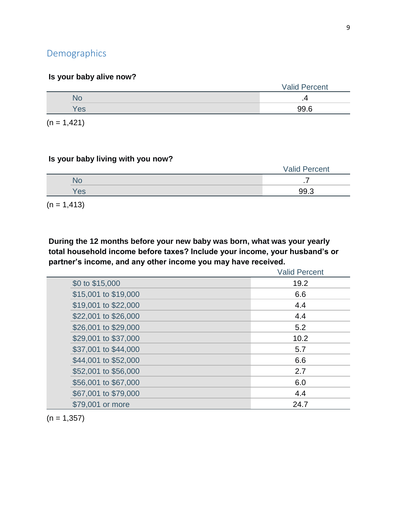# Demographics

### **Is your baby alive now?**

|     | <b>Valid Percent</b> |
|-----|----------------------|
|     |                      |
| Yes | 99.6                 |
|     |                      |

 $(n = 1, 421)$ 

#### **Is your baby living with you now?**

|  |     | <b>Valid Percent</b> |
|--|-----|----------------------|
|  |     | . .                  |
|  | Yes | 99.3                 |
|  |     |                      |

 $(n = 1, 413)$ 

**During the 12 months before your new baby was born, what was your yearly total household income before taxes? Include your income, your husband's or partner's income, and any other income you may have received.**

|                      | <b>Valid Percent</b> |
|----------------------|----------------------|
| \$0 to \$15,000      | 19.2                 |
| \$15,001 to \$19,000 | 6.6                  |
| \$19,001 to \$22,000 | 4.4                  |
| \$22,001 to \$26,000 | 4.4                  |
| \$26,001 to \$29,000 | 5.2                  |
| \$29,001 to \$37,000 | 10.2                 |
| \$37,001 to \$44,000 | 5.7                  |
| \$44,001 to \$52,000 | 6.6                  |
| \$52,001 to \$56,000 | 2.7                  |
| \$56,001 to \$67,000 | 6.0                  |
| \$67,001 to \$79,000 | 4.4                  |
| \$79,001 or more     | 24.7                 |

 $(n = 1,357)$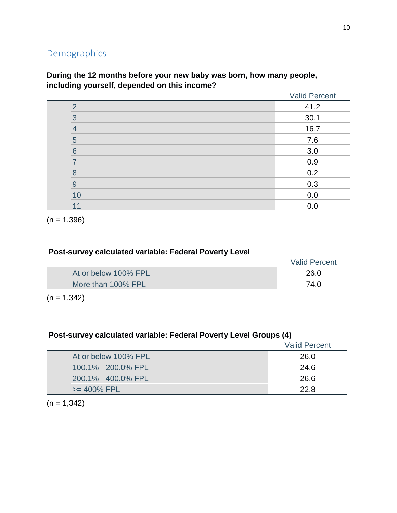# Demographics

|                       | <b>Valid Percent</b> |
|-----------------------|----------------------|
| ⌒                     | 41.2                 |
| 3                     | 30.1                 |
| $\overline{4}$        | 16.7                 |
| 5                     | 7.6                  |
| 6                     | 3.0                  |
|                       | 0.9                  |
| $\mathsf{\mathsf{B}}$ | 0.2                  |
| 9                     | 0.3                  |
| 10                    | 0.0                  |
| 11                    | 0.0                  |

**During the 12 months before your new baby was born, how many people, including yourself, depended on this income?**

 $(n = 1,396)$ 

### **Post-survey calculated variable: Federal Poverty Level**

| At or below 100% FPL<br>26.0 |  |
|------------------------------|--|
| More than 100% FPL<br>74.0   |  |

 $(n = 1,342)$ 

### **Post-survey calculated variable: Federal Poverty Level Groups (4)**

|                      | <b>Valid Percent</b> |
|----------------------|----------------------|
| At or below 100% FPL | 26.0                 |
| 100.1% - 200.0% FPL  | -24.6                |
| 200.1% - 400.0% FPL  | -26.6                |
| $>= 400\%$ FPL       | 22 R                 |

 $(n = 1,342)$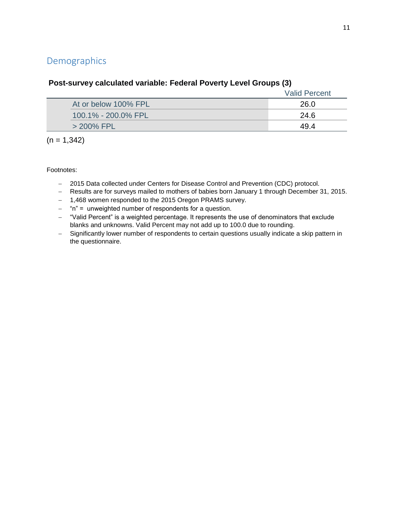# Demographics

|                      | <b>Valid Percent</b> |
|----------------------|----------------------|
| At or below 100% FPL | 26.0                 |
| 100.1% - 200.0% FPL  | 24.6                 |
| $>$ 200% FPL         | 49.4                 |
|                      |                      |

### **Post-survey calculated variable: Federal Poverty Level Groups (3)**

 $(n = 1,342)$ 

- 2015 Data collected under Centers for Disease Control and Prevention (CDC) protocol.
- Results are for surveys mailed to mothers of babies born January 1 through December 31, 2015.
- 1,468 women responded to the 2015 Oregon PRAMS survey.
- $-$  "n" = unweighted number of respondents for a question.
- "Valid Percent" is a weighted percentage. It represents the use of denominators that exclude blanks and unknowns. Valid Percent may not add up to 100.0 due to rounding.
- Significantly lower number of respondents to certain questions usually indicate a skip pattern in the questionnaire.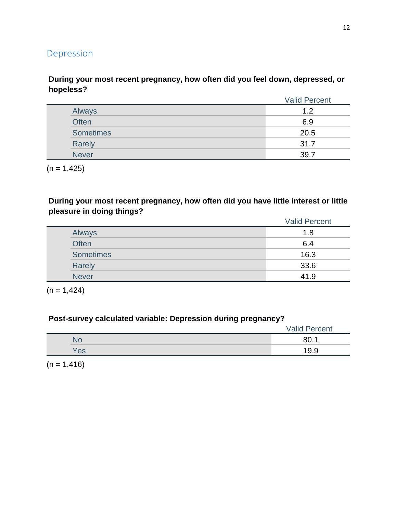# Depression

### **During your most recent pregnancy, how often did you feel down, depressed, or hopeless?**

|              | <b>Valid Percent</b> |
|--------------|----------------------|
| Always       | 1.2                  |
| Often        | 6.9                  |
| Sometimes    | 20.5                 |
| Rarely       | 31.7                 |
| <b>Never</b> | 39.7                 |

 $(n = 1, 425)$ 

**During your most recent pregnancy, how often did you have little interest or little pleasure in doing things?**

|                  | <b>Valid Percent</b> |
|------------------|----------------------|
| Always           | 1.8                  |
| <b>Often</b>     | 6.4                  |
| <b>Sometimes</b> | 16.3                 |
| Rarely           | 33.6                 |
| <b>Never</b>     | 41.9                 |

 $(n = 1, 424)$ 

## **Post-survey calculated variable: Depression during pregnancy?**

|     | <b>Valid Percent</b> |
|-----|----------------------|
| No  | 80.1                 |
| Yes | 19.9                 |

 $(n = 1, 416)$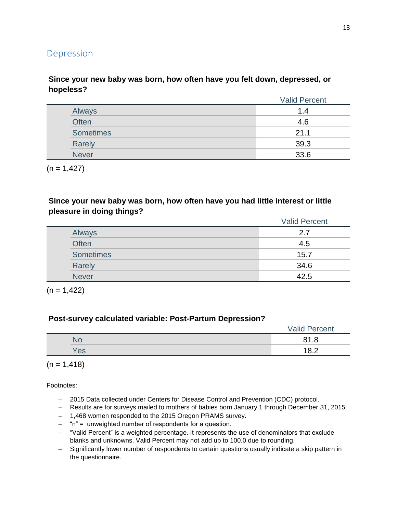## Depression

### **Since your new baby was born, how often have you felt down, depressed, or hopeless?**

|                  | <b>Valid Percent</b> |
|------------------|----------------------|
| Always           | 1.4                  |
| Often            | 4.6                  |
| <b>Sometimes</b> | 21.1                 |
| Rarely           | 39.3                 |
| <b>Never</b>     | 33.6                 |

 $(n = 1,427)$ 

#### **Since your new baby was born, how often have you had little interest or little pleasure in doing things?**

|                  | <b>Valid Percent</b> |
|------------------|----------------------|
| Always           | 2.7                  |
| <b>Often</b>     | 4.5                  |
| <b>Sometimes</b> | 15.7                 |
| Rarely           | 34.6                 |
| <b>Never</b>     | 42.5                 |

 $(n = 1,422)$ 

#### **Post-survey calculated variable: Post-Partum Depression?**

|     | <b>Valid Percent</b> |
|-----|----------------------|
|     | 81.8                 |
| Yes | 18.2                 |

 $(n = 1, 418)$ 

- 2015 Data collected under Centers for Disease Control and Prevention (CDC) protocol.
- Results are for surveys mailed to mothers of babies born January 1 through December 31, 2015.
- 1,468 women responded to the 2015 Oregon PRAMS survey.
- $-$  "n" = unweighted number of respondents for a question.
- "Valid Percent" is a weighted percentage. It represents the use of denominators that exclude blanks and unknowns. Valid Percent may not add up to 100.0 due to rounding.
- Significantly lower number of respondents to certain questions usually indicate a skip pattern in the questionnaire.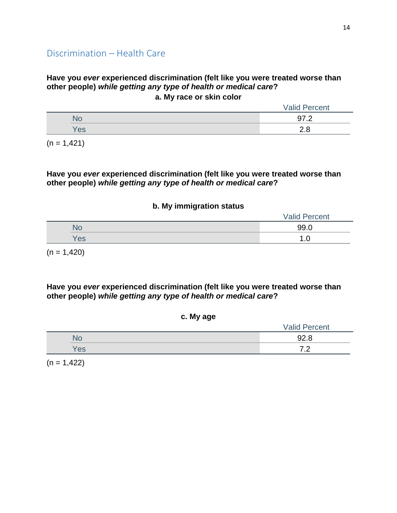#### **Have you** *ever* **experienced discrimination (felt like you were treated worse than other people)** *while getting any type of health or medical care***? a. My race or skin color**

|     | <b>Valid Percent</b> |
|-----|----------------------|
|     |                      |
| Yes | <u>.</u>             |
|     |                      |

 $(n = 1, 421)$ 

**Have you** *ever* **experienced discrimination (felt like you were treated worse than other people)** *while getting any type of health or medical care***?**

#### **b. My immigration status**

|     | <b>Valid Percent</b> |
|-----|----------------------|
| ЧU  | 99.0                 |
| Yes |                      |

 $(n = 1,420)$ 

**Have you** *ever* **experienced discrimination (felt like you were treated worse than other people)** *while getting any type of health or medical care***?**

| $-$ | <b>Valid Percent</b> |
|-----|----------------------|
|     | 92.8                 |
| Yes | ¬ ⌒                  |
|     |                      |

**c. My age**

 $(n = 1,422)$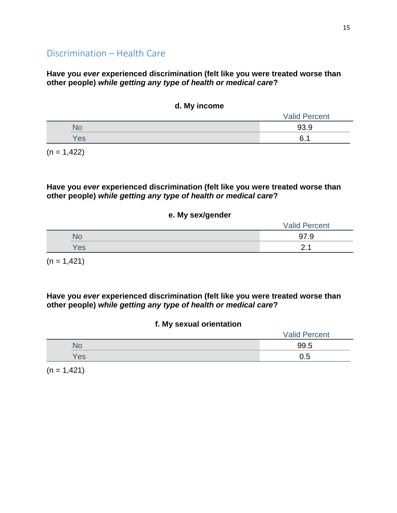#### **Have you** *ever* **experienced discrimination (felt like you were treated worse than other people)** *while getting any type of health or medical care***?**

#### **d. My income**

| $\overline{\phantom{a}}$ | <b>Valid Percent</b> |
|--------------------------|----------------------|
| N٥                       | 93.9                 |
| Yes                      | 6.1                  |

 $(n = 1, 422)$ 

#### **Have you** *ever* **experienced discrimination (felt like you were treated worse than other people)** *while getting any type of health or medical care***?**

#### **e. My sex/gender**

|     | <b>Valid Percent</b> |
|-----|----------------------|
| ٧О  | - 07<br>.న           |
| Yes | ⌒                    |

 $(n = 1, 421)$ 

**Have you** *ever* **experienced discrimination (felt like you were treated worse than other people)** *while getting any type of health or medical care***?**

#### **f. My sexual orientation**

|     | <b>Valid Percent</b> |
|-----|----------------------|
| NO  | 99.5                 |
| Yes | 0.5                  |

 $(n = 1, 421)$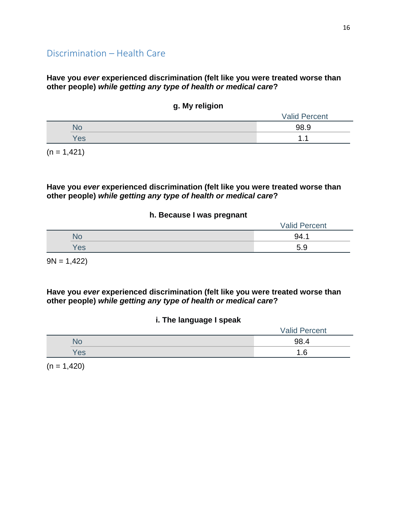#### **Have you** *ever* **experienced discrimination (felt like you were treated worse than other people)** *while getting any type of health or medical care***?**

### **g. My religion**

|     | <b>Valid Percent</b> |
|-----|----------------------|
| N O | 98.9                 |
| Yes | .                    |

 $(n = 1, 421)$ 

#### **Have you** *ever* **experienced discrimination (felt like you were treated worse than other people)** *while getting any type of health or medical care***?**

#### **h. Because I was pregnant**

|     | <b>Valid Percent</b> |
|-----|----------------------|
| NO  | 94.1                 |
| 'es | 5.9                  |

 $9N = 1,422$ 

**Have you** *ever* **experienced discrimination (felt like you were treated worse than other people)** *while getting any type of health or medical care***?**

#### **i. The language I speak**

|     | <b>Valid Percent</b> |
|-----|----------------------|
|     | 98.4                 |
| 'es |                      |

 $(n = 1,420)$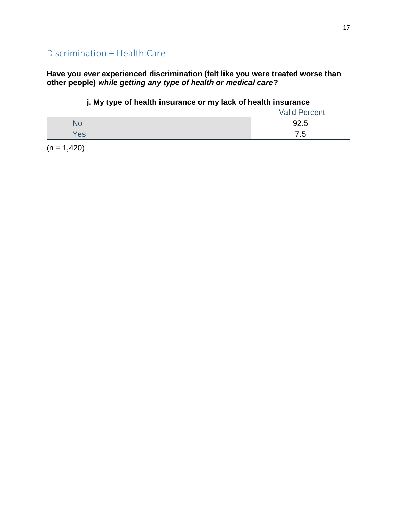### **Have you** *ever* **experienced discrimination (felt like you were treated worse than other people)** *while getting any type of health or medical care***?**

### **j. My type of health insurance or my lack of health insurance**

|     | <b>Valid Percent</b> |
|-----|----------------------|
| 'NG | 92.5                 |
| es/ | $\sim$ $\sim$<br>ں.  |

 $(n = 1,420)$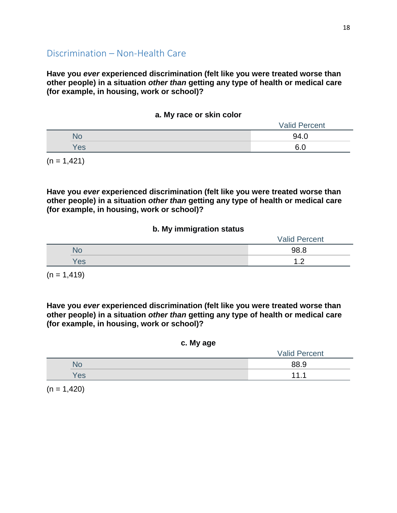**Have you** *ever* **experienced discrimination (felt like you were treated worse than other people) in a situation** *other than* **getting any type of health or medical care (for example, in housing, work or school)?**

| a. My race or skin color |
|--------------------------|
|--------------------------|

|     | <b>Valid Percent</b> |
|-----|----------------------|
|     | 94.0                 |
| Yes | G N<br>0.U           |

 $(n = 1, 421)$ 

**Have you** *ever* **experienced discrimination (felt like you were treated worse than other people) in a situation** *other than* **getting any type of health or medical care (for example, in housing, work or school)?**

#### **b. My immigration status**

|     | <b>Valid Percent</b> |
|-----|----------------------|
| No  | 98.8                 |
| Yes | י י<br>$-$           |

 $(n = 1, 419)$ 

**Have you** *ever* **experienced discrimination (felt like you were treated worse than other people) in a situation** *other than* **getting any type of health or medical care (for example, in housing, work or school)?**

#### **c. My age**

|               | <b>Valid Percent</b> |
|---------------|----------------------|
|               | 88.9                 |
| $\textdegree$ | 44                   |

 $(n = 1,420)$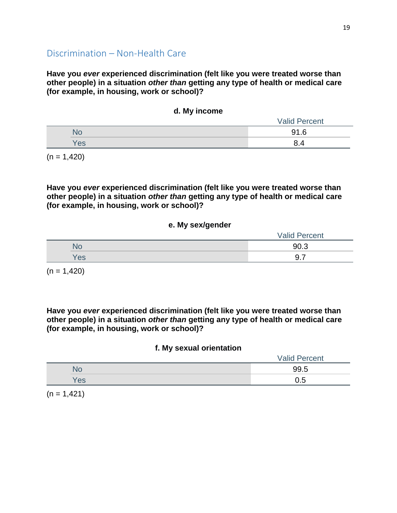**Have you** *ever* **experienced discrimination (felt like you were treated worse than other people) in a situation** *other than* **getting any type of health or medical care (for example, in housing, work or school)?**

|            | <u>.</u>             |  |
|------------|----------------------|--|
|            | <b>Valid Percent</b> |  |
| No         | 91.6                 |  |
| <b>Yes</b> | 8.4                  |  |
|            |                      |  |

**d. My income**

 $(n = 1,420)$ 

**Have you** *ever* **experienced discrimination (felt like you were treated worse than other people) in a situation** *other than* **getting any type of health or medical care (for example, in housing, work or school)?**

#### **e. My sex/gender**

|     | <b>Valid Percent</b> |
|-----|----------------------|
| No  | 90.3                 |
| Yes | -<br>◡               |

 $(n = 1,420)$ 

**Have you** *ever* **experienced discrimination (felt like you were treated worse than other people) in a situation** *other than* **getting any type of health or medical care (for example, in housing, work or school)?**

#### **f. My sexual orientation**

|     | <b>Valid Percent</b> |
|-----|----------------------|
| 'NC | 99.5                 |
| Yes | 0.5                  |

 $(n = 1, 421)$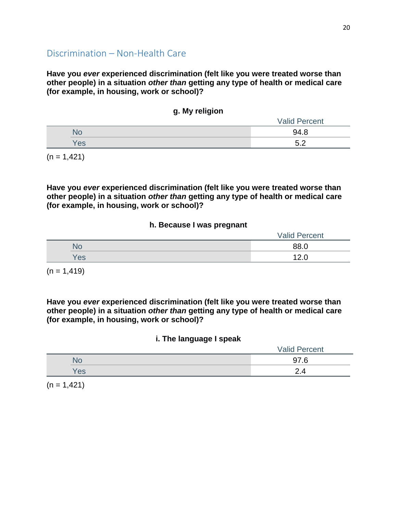**Have you** *ever* **experienced discrimination (felt like you were treated worse than other people) in a situation** *other than* **getting any type of health or medical care (for example, in housing, work or school)?**

|  | g. My religion |
|--|----------------|
|  |                |

|     | <b>Valid Percent</b> |
|-----|----------------------|
|     | 94.8                 |
| Yes | $F \Omega$           |

 $(n = 1, 421)$ 

**Have you** *ever* **experienced discrimination (felt like you were treated worse than other people) in a situation** *other than* **getting any type of health or medical care (for example, in housing, work or school)?**

#### **h. Because I was pregnant**

|     | <b>Valid Percent</b> |
|-----|----------------------|
| No  | 88.0                 |
| Yes | 12C                  |

 $(n = 1, 419)$ 

**Have you** *ever* **experienced discrimination (felt like you were treated worse than other people) in a situation** *other than* **getting any type of health or medical care (for example, in housing, work or school)?**

#### **i. The language I speak**

|     | <b>Valid Percent</b> |
|-----|----------------------|
| No  | 97.6                 |
| Yes | 2.4                  |

 $(n = 1, 421)$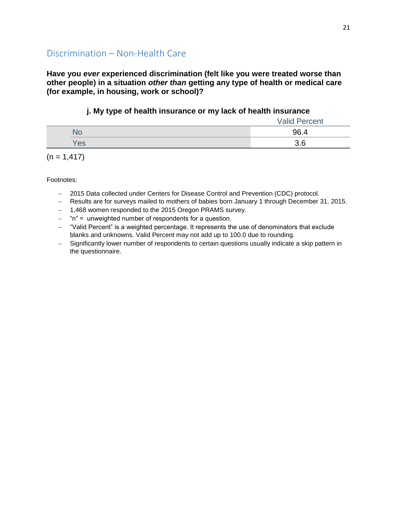**Have you** *ever* **experienced discrimination (felt like you were treated worse than other people) in a situation** *other than* **getting any type of health or medical care (for example, in housing, work or school)?**

### **j. My type of health insurance or my lack of health insurance**

|     | <b>Valid Percent</b> |
|-----|----------------------|
|     | 96.4                 |
| Yes | v.v                  |

 $(n = 1, 417)$ 

- 2015 Data collected under Centers for Disease Control and Prevention (CDC) protocol.
- Results are for surveys mailed to mothers of babies born January 1 through December 31, 2015.
- 1,468 women responded to the 2015 Oregon PRAMS survey.
- $-$  "n" = unweighted number of respondents for a question.
- "Valid Percent" is a weighted percentage. It represents the use of denominators that exclude blanks and unknowns. Valid Percent may not add up to 100.0 due to rounding.
- Significantly lower number of respondents to certain questions usually indicate a skip pattern in the questionnaire.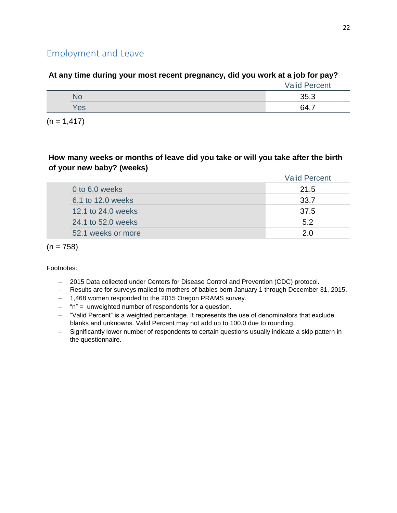# Employment and Leave

## **At any time during your most recent pregnancy, did you work at a job for pay?**

| NO  | 35.3 |
|-----|------|
| Yes | 64.7 |

 $(n = 1, 417)$ 

### **How many weeks or months of leave did you take or will you take after the birth of your new baby? (weeks)**

|                    | <b>Valid Percent</b> |
|--------------------|----------------------|
| 0 to 6.0 weeks     | 21.5                 |
| 6.1 to 12.0 weeks  | 33.7                 |
| 12.1 to 24.0 weeks | 37.5                 |
| 24.1 to 52.0 weeks | 5.2                  |
| 52.1 weeks or more | 20                   |
|                    |                      |

 $(n = 758)$ 

- 2015 Data collected under Centers for Disease Control and Prevention (CDC) protocol.
- Results are for surveys mailed to mothers of babies born January 1 through December 31, 2015.
- 1,468 women responded to the 2015 Oregon PRAMS survey.
- $-$  "n" = unweighted number of respondents for a question.
- "Valid Percent" is a weighted percentage. It represents the use of denominators that exclude blanks and unknowns. Valid Percent may not add up to 100.0 due to rounding.
- Significantly lower number of respondents to certain questions usually indicate a skip pattern in the questionnaire.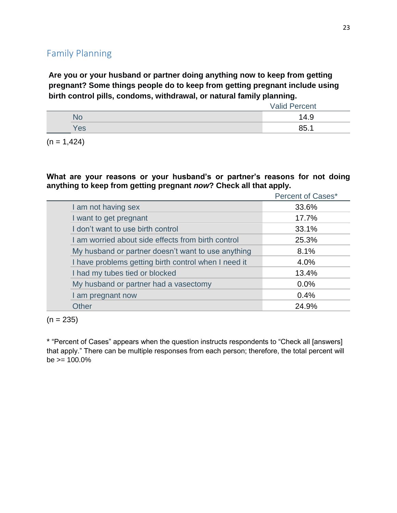# Family Planning

**Are you or your husband or partner doing anything now to keep from getting pregnant? Some things people do to keep from getting pregnant include using birth control pills, condoms, withdrawal, or natural family planning.**

|                 | <b>Valid Percent</b> |
|-----------------|----------------------|
|                 | 14.9                 |
| 'e <sub>s</sub> | 85.1                 |

 $(n = 1,424)$ 

**What are your reasons or your husband's or partner's reasons for not doing anything to keep from getting pregnant** *now***? Check all that apply.**

|                                                      | <b>Percent of Cases*</b> |
|------------------------------------------------------|--------------------------|
| I am not having sex                                  | 33.6%                    |
| I want to get pregnant                               | 17.7%                    |
| I don't want to use birth control                    | 33.1%                    |
| I am worried about side effects from birth control   | 25.3%                    |
| My husband or partner doesn't want to use anything   | 8.1%                     |
| I have problems getting birth control when I need it | 4.0%                     |
| I had my tubes tied or blocked                       | 13.4%                    |
| My husband or partner had a vasectomy                | 0.0%                     |
| I am pregnant now                                    | 0.4%                     |
| Other                                                | 24.9%                    |

 $(n = 235)$ 

\* "Percent of Cases" appears when the question instructs respondents to "Check all [answers] that apply." There can be multiple responses from each person; therefore, the total percent will  $be$  >= 100.0%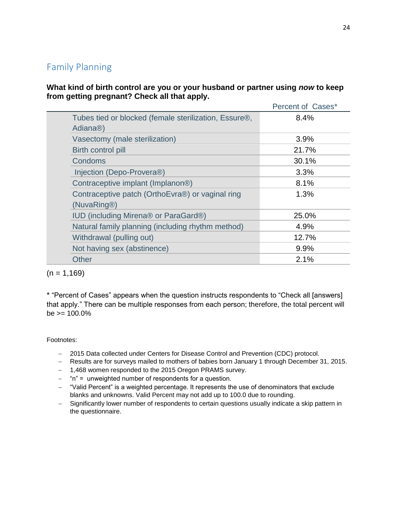# Family Planning

**What kind of birth control are you or your husband or partner using** *now* **to keep from getting pregnant? Check all that apply.**

|                                                                                             | Percent of Cases* |
|---------------------------------------------------------------------------------------------|-------------------|
| Tubes tied or blocked (female sterilization, Essure <sup>®</sup> ,<br>Adiana <sup>®</sup> ) | 8.4%              |
| Vasectomy (male sterilization)                                                              | 3.9%              |
| Birth control pill                                                                          | 21.7%             |
| Condoms                                                                                     | 30.1%             |
| Injection (Depo-Provera®)                                                                   | 3.3%              |
| Contraceptive implant (Implanon <sup>®)</sup>                                               | 8.1%              |
| Contraceptive patch (OrthoEvra®) or vaginal ring<br>(NuvaRing®)                             | 1.3%              |
| IUD (including Mirena® or ParaGard®)                                                        | 25.0%             |
| Natural family planning (including rhythm method)                                           | 4.9%              |
| Withdrawal (pulling out)                                                                    | 12.7%             |
| Not having sex (abstinence)                                                                 | 9.9%              |
| Other                                                                                       | 2.1%              |
|                                                                                             |                   |

 $(n = 1,169)$ 

\* "Percent of Cases" appears when the question instructs respondents to "Check all [answers] that apply." There can be multiple responses from each person; therefore, the total percent will  $be = 100.0\%$ 

- 2015 Data collected under Centers for Disease Control and Prevention (CDC) protocol.
- Results are for surveys mailed to mothers of babies born January 1 through December 31, 2015.
- 1,468 women responded to the 2015 Oregon PRAMS survey.
- $-$  "n" = unweighted number of respondents for a question.
- "Valid Percent" is a weighted percentage. It represents the use of denominators that exclude blanks and unknowns. Valid Percent may not add up to 100.0 due to rounding.
- Significantly lower number of respondents to certain questions usually indicate a skip pattern in the questionnaire.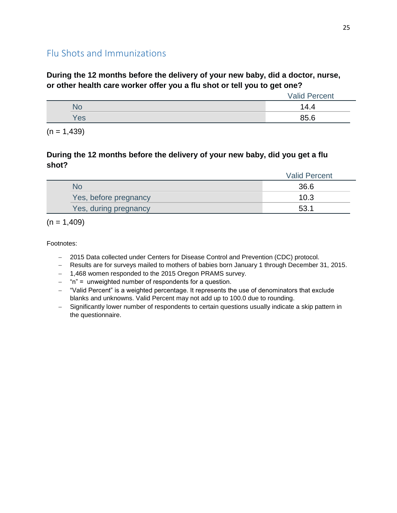# Flu Shots and Immunizations

### **During the 12 months before the delivery of your new baby, did a doctor, nurse, or other health care worker offer you a flu shot or tell you to get one?**

|     | <b>Valid Percent</b> |
|-----|----------------------|
| 'NC | $\Delta$<br>4.4      |
| Yes | 85.6                 |

 $(n = 1,439)$ 

### **During the 12 months before the delivery of your new baby, did you get a flu shot?**

|                       | <b>Valid Percent</b> |
|-----------------------|----------------------|
| No                    | 36.6                 |
| Yes, before pregnancy | 10.3                 |
| Yes, during pregnancy | 53.1                 |

 $(n = 1,409)$ 

- 2015 Data collected under Centers for Disease Control and Prevention (CDC) protocol.
- Results are for surveys mailed to mothers of babies born January 1 through December 31, 2015.
- 1,468 women responded to the 2015 Oregon PRAMS survey.
- $-$  "n" = unweighted number of respondents for a question.
- "Valid Percent" is a weighted percentage. It represents the use of denominators that exclude blanks and unknowns. Valid Percent may not add up to 100.0 due to rounding.
- Significantly lower number of respondents to certain questions usually indicate a skip pattern in the questionnaire.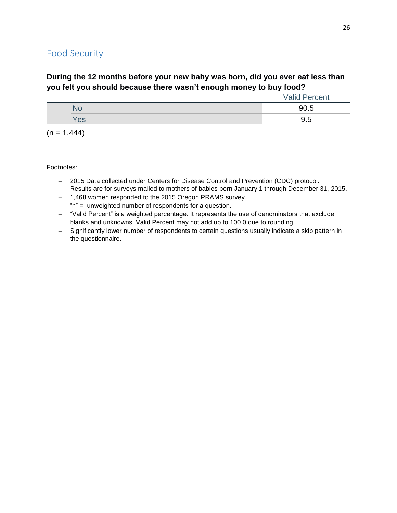# Food Security

## **During the 12 months before your new baby was born, did you ever eat less than you felt you should because there wasn't enough money to buy food?**

|      | <b>Valid Percent</b> |
|------|----------------------|
| 'NG. | 90.5                 |
| Yes  | 9.5                  |

 $(n = 1,444)$ 

- 2015 Data collected under Centers for Disease Control and Prevention (CDC) protocol.
- Results are for surveys mailed to mothers of babies born January 1 through December 31, 2015.
- 1,468 women responded to the 2015 Oregon PRAMS survey.
- "n" = unweighted number of respondents for a question.
- "Valid Percent" is a weighted percentage. It represents the use of denominators that exclude blanks and unknowns. Valid Percent may not add up to 100.0 due to rounding.
- Significantly lower number of respondents to certain questions usually indicate a skip pattern in the questionnaire.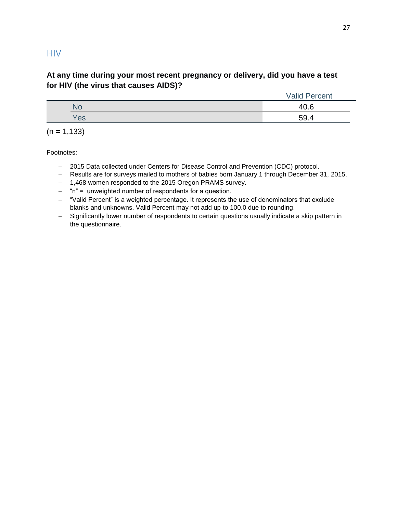### **HIV**

### **At any time during your most recent pregnancy or delivery, did you have a test for HIV (the virus that causes AIDS)?**

|     | <b>Valid Percent</b> |  |
|-----|----------------------|--|
|     | 40.6                 |  |
| Yes | 59.4                 |  |

 $(n = 1, 133)$ 

- 2015 Data collected under Centers for Disease Control and Prevention (CDC) protocol.
- Results are for surveys mailed to mothers of babies born January 1 through December 31, 2015.
- 1,468 women responded to the 2015 Oregon PRAMS survey.
- $-$  "n" = unweighted number of respondents for a question.
- "Valid Percent" is a weighted percentage. It represents the use of denominators that exclude blanks and unknowns. Valid Percent may not add up to 100.0 due to rounding.
- Significantly lower number of respondents to certain questions usually indicate a skip pattern in the questionnaire.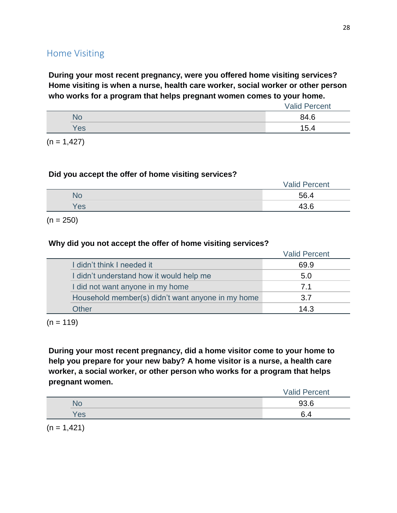# Home Visiting

**During your most recent pregnancy, were you offered home visiting services? Home visiting is when a nurse, health care worker, social worker or other person who works for a program that helps pregnant women comes to your home.**

|     | <b>Valid Percent</b> |
|-----|----------------------|
| N٥  | 84.6                 |
| Yes | 15.4                 |

 $(n = 1, 427)$ 

#### **Did you accept the offer of home visiting services?**

|     | <b>Valid Percent</b> |
|-----|----------------------|
| ٧с  | 56.4                 |
| Yes | 43.6                 |

 $(n = 250)$ 

#### **Why did you not accept the offer of home visiting services?**

|                                                   | <b>Valid Percent</b> |
|---------------------------------------------------|----------------------|
| I didn't think I needed it                        | 69.9                 |
| I didn't understand how it would help me          | 5.0                  |
| I did not want anyone in my home                  | 71                   |
| Household member(s) didn't want anyone in my home | 3.7                  |
| Other                                             | 14 $\,$ 3            |

 $(n = 119)$ 

**During your most recent pregnancy, did a home visitor come to your home to help you prepare for your new baby? A home visitor is a nurse, a health care worker, a social worker, or other person who works for a program that helps pregnant women.**

|  |     | <b>Valid Percent</b> |
|--|-----|----------------------|
|  | Nc  | 93.6                 |
|  | Yes | C.<br>6.4            |
|  |     |                      |

 $(n = 1, 421)$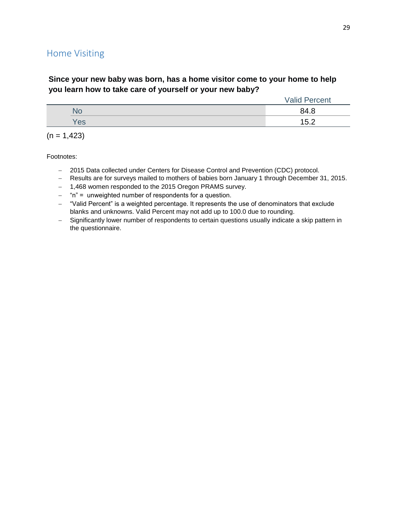# Home Visiting

### **Since your new baby was born, has a home visitor come to your home to help you learn how to take care of yourself or your new baby?**

|     | <b>Valid Percent</b> |
|-----|----------------------|
|     | 84.8                 |
| Yes | 15.2                 |

|  |  | $(n = 1,423)$ |
|--|--|---------------|
|--|--|---------------|

- 2015 Data collected under Centers for Disease Control and Prevention (CDC) protocol.
- Results are for surveys mailed to mothers of babies born January 1 through December 31, 2015.
- 1,468 women responded to the 2015 Oregon PRAMS survey.
- "n" = unweighted number of respondents for a question.
- "Valid Percent" is a weighted percentage. It represents the use of denominators that exclude blanks and unknowns. Valid Percent may not add up to 100.0 due to rounding.
- Significantly lower number of respondents to certain questions usually indicate a skip pattern in the questionnaire.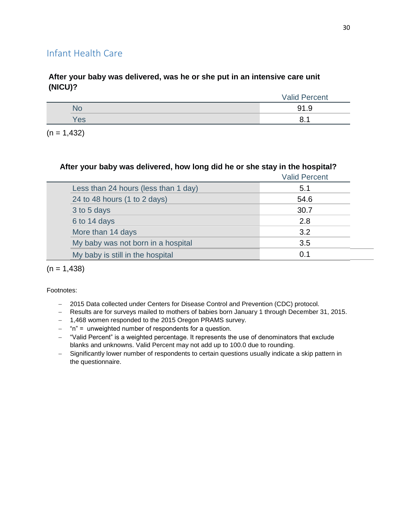# Infant Health Care

### **After your baby was delivered, was he or she put in an intensive care unit (NICU)?**

|     | <b>Valid Percent</b> |
|-----|----------------------|
| 'NU | 91.9                 |
| Yes | o<br>o.              |

 $(n = 1,432)$ 

### **After your baby was delivered, how long did he or she stay in the hospital?**

|                                      | <b>Valid Percent</b> |
|--------------------------------------|----------------------|
| Less than 24 hours (less than 1 day) | 5.1                  |
| 24 to 48 hours (1 to 2 days)         | 54.6                 |
| 3 to 5 days                          | 30.7                 |
| 6 to 14 days                         | 2.8                  |
| More than 14 days                    | 3.2                  |
| My baby was not born in a hospital   | 3.5                  |
| My baby is still in the hospital     | 0.1                  |
|                                      |                      |

 $(n = 1,438)$ 

- 2015 Data collected under Centers for Disease Control and Prevention (CDC) protocol.
- Results are for surveys mailed to mothers of babies born January 1 through December 31, 2015.
- 1,468 women responded to the 2015 Oregon PRAMS survey.
- $-$  "n" = unweighted number of respondents for a question.
- "Valid Percent" is a weighted percentage. It represents the use of denominators that exclude blanks and unknowns. Valid Percent may not add up to 100.0 due to rounding.
- Significantly lower number of respondents to certain questions usually indicate a skip pattern in the questionnaire.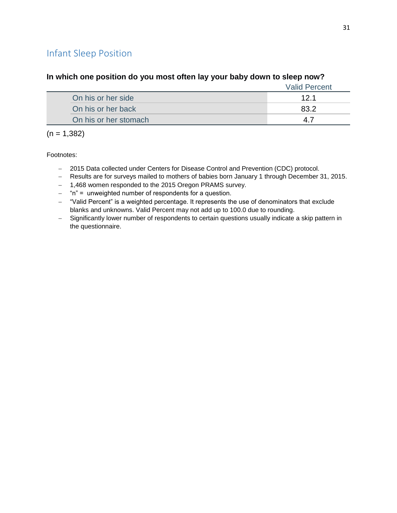# Infant Sleep Position

|                       | <b>Valid Percent</b> |
|-----------------------|----------------------|
| On his or her side    | 12.1                 |
| On his or her back    | R3 J                 |
| On his or her stomach |                      |

#### **In which one position do you most often lay your baby down to sleep now?**

 $(n = 1,382)$ 

- 2015 Data collected under Centers for Disease Control and Prevention (CDC) protocol.
- Results are for surveys mailed to mothers of babies born January 1 through December 31, 2015.
- 1,468 women responded to the 2015 Oregon PRAMS survey.
- $-$  "n" = unweighted number of respondents for a question.
- "Valid Percent" is a weighted percentage. It represents the use of denominators that exclude blanks and unknowns. Valid Percent may not add up to 100.0 due to rounding.
- Significantly lower number of respondents to certain questions usually indicate a skip pattern in the questionnaire.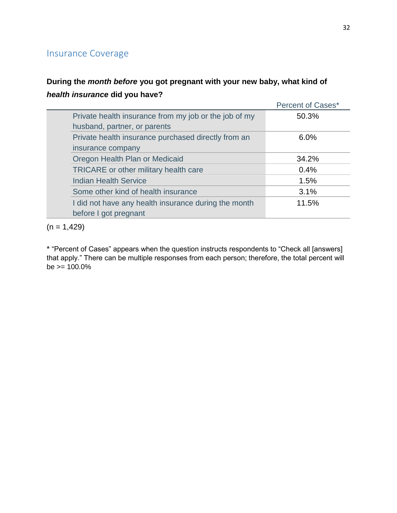# Insurance Coverage

# **During the** *month before* **you got pregnant with your new baby, what kind of**  *health insurance* **did you have?**

|                                                       | Percent of Cases* |
|-------------------------------------------------------|-------------------|
| Private health insurance from my job or the job of my | 50.3%             |
| husband, partner, or parents                          |                   |
| Private health insurance purchased directly from an   | 6.0%              |
| insurance company                                     |                   |
| Oregon Health Plan or Medicaid                        | 34.2%             |
| TRICARE or other military health care                 | 0.4%              |
| <b>Indian Health Service</b>                          | 1.5%              |
| Some other kind of health insurance                   | 3.1%              |
| I did not have any health insurance during the month  | 11.5%             |
| before I got pregnant                                 |                   |

 $(n = 1,429)$ 

\* "Percent of Cases" appears when the question instructs respondents to "Check all [answers] that apply." There can be multiple responses from each person; therefore, the total percent will  $be = 100.0\%$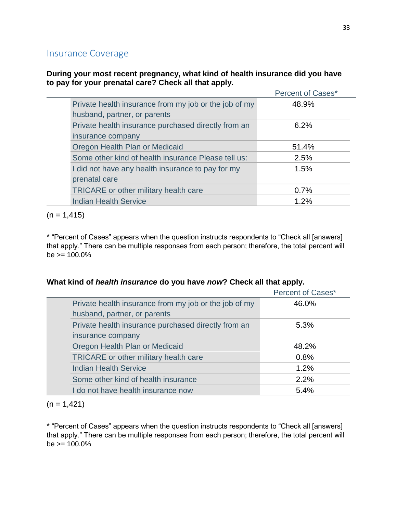## Insurance Coverage

### **During your most recent pregnancy, what kind of health insurance did you have to pay for your prenatal care? Check all that apply.**

|                              |                                                       | Percent of Cases* |
|------------------------------|-------------------------------------------------------|-------------------|
|                              | Private health insurance from my job or the job of my | 48.9%             |
| husband, partner, or parents |                                                       |                   |
|                              | Private health insurance purchased directly from an   | 6.2%              |
| insurance company            |                                                       |                   |
|                              | Oregon Health Plan or Medicaid                        | 51.4%             |
|                              | Some other kind of health insurance Please tell us:   | 2.5%              |
|                              | I did not have any health insurance to pay for my     | 1.5%              |
| prenatal care                |                                                       |                   |
|                              | <b>TRICARE</b> or other military health care          | 0.7%              |
| <b>Indian Health Service</b> |                                                       | 1.2%              |

 $(n = 1, 415)$ 

\* "Percent of Cases" appears when the question instructs respondents to "Check all [answers] that apply." There can be multiple responses from each person; therefore, the total percent will  $be \ge 100.0\%$ 

#### **What kind of** *health insurance* **do you have** *now***? Check all that apply.**

|                                                       | Percent of Cases* |
|-------------------------------------------------------|-------------------|
| Private health insurance from my job or the job of my | 46.0%             |
| husband, partner, or parents                          |                   |
| Private health insurance purchased directly from an   | $5.3\%$           |
| insurance company                                     |                   |
| Oregon Health Plan or Medicaid                        | 48.2%             |
| TRICARE or other military health care                 | 0.8%              |
| <b>Indian Health Service</b>                          | 1.2%              |
| Some other kind of health insurance                   | 2.2%              |
| I do not have health insurance now                    | 5.4%              |

 $(n = 1, 421)$ 

\* "Percent of Cases" appears when the question instructs respondents to "Check all [answers] that apply." There can be multiple responses from each person; therefore, the total percent will  $be = 100.0\%$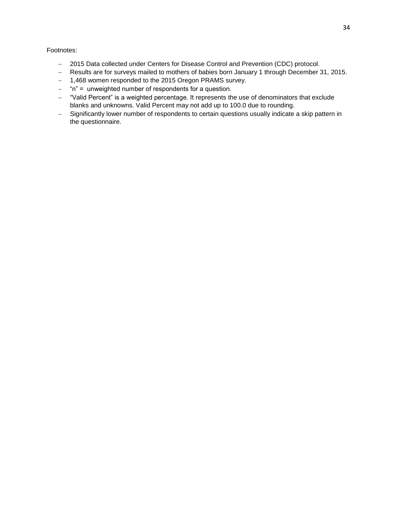- 2015 Data collected under Centers for Disease Control and Prevention (CDC) protocol.
- Results are for surveys mailed to mothers of babies born January 1 through December 31, 2015.
- 1,468 women responded to the 2015 Oregon PRAMS survey.
- $-$  "n" = unweighted number of respondents for a question.
- "Valid Percent" is a weighted percentage. It represents the use of denominators that exclude blanks and unknowns. Valid Percent may not add up to 100.0 due to rounding.
- Significantly lower number of respondents to certain questions usually indicate a skip pattern in the questionnaire.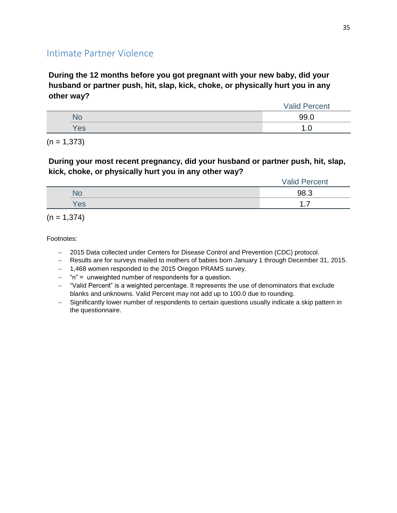## Intimate Partner Violence

**During the 12 months before you got pregnant with your new baby, did your husband or partner push, hit, slap, kick, choke, or physically hurt you in any other way?**

|     | <b>Valid Percent</b> |
|-----|----------------------|
|     | 99.0                 |
| Yes | .u                   |

 $(n = 1,373)$ 

### **During your most recent pregnancy, did your husband or partner push, hit, slap, kick, choke, or physically hurt you in any other way?**

|     | <b>Valid Percent</b> |
|-----|----------------------|
| ЧU  | 98.3                 |
| Yes | .                    |

 $(n = 1,374)$ 

- 2015 Data collected under Centers for Disease Control and Prevention (CDC) protocol.
- Results are for surveys mailed to mothers of babies born January 1 through December 31, 2015.
- 1,468 women responded to the 2015 Oregon PRAMS survey.
- "n" = unweighted number of respondents for a question.
- "Valid Percent" is a weighted percentage. It represents the use of denominators that exclude blanks and unknowns. Valid Percent may not add up to 100.0 due to rounding.
- Significantly lower number of respondents to certain questions usually indicate a skip pattern in the questionnaire.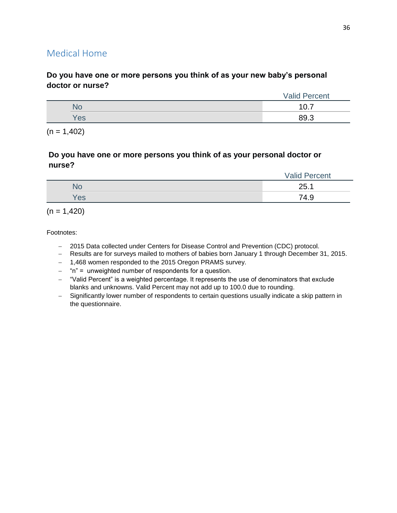# Medical Home

### **Do you have one or more persons you think of as your new baby's personal doctor or nurse?**

|     | <b>Valid Percent</b> |
|-----|----------------------|
| NG. | . –                  |
| 'es | <b>RO</b> 3          |

 $(n = 1,402)$ 

### **Do you have one or more persons you think of as your personal doctor or nurse?**

|     | <b>Valid Percent</b> |
|-----|----------------------|
| NG. | 25.1<br>ZJ.          |
| Yes | 74.9                 |

 $(n = 1,420)$ 

- 2015 Data collected under Centers for Disease Control and Prevention (CDC) protocol.
- Results are for surveys mailed to mothers of babies born January 1 through December 31, 2015.
- 1,468 women responded to the 2015 Oregon PRAMS survey.
- "n" = unweighted number of respondents for a question.
- "Valid Percent" is a weighted percentage. It represents the use of denominators that exclude blanks and unknowns. Valid Percent may not add up to 100.0 due to rounding.
- Significantly lower number of respondents to certain questions usually indicate a skip pattern in the questionnaire.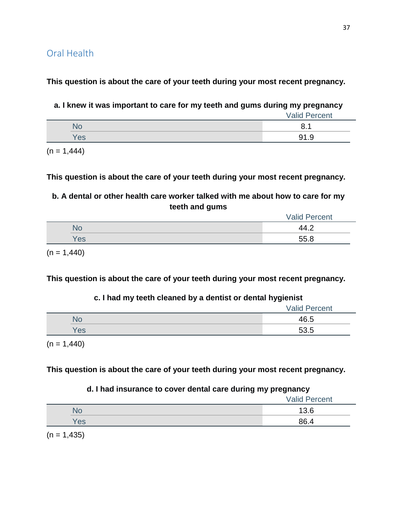**This question is about the care of your teeth during your most recent pregnancy.**

**a. I knew it was important to care for my teeth and gums during my pregnancy**

|     | <b>Valid Percent</b> |
|-----|----------------------|
| U   | $\Omega$             |
| Yes | <b>01</b>            |

 $(n = 1,444)$ 

**This question is about the care of your teeth during your most recent pregnancy.**

**b. A dental or other health care worker talked with me about how to care for my teeth and gums**

|     | <b>Valid Percent</b> |
|-----|----------------------|
| NС  | 44                   |
| Yes | 55.8                 |
|     |                      |

 $(n = 1,440)$ 

**This question is about the care of your teeth during your most recent pregnancy.**

## **c. I had my teeth cleaned by a dentist or dental hygienist**

|     | <b>Valid Percent</b> |  |
|-----|----------------------|--|
|     | 46.5                 |  |
| Yes | 53.5                 |  |
|     |                      |  |

 $(n = 1,440)$ 

**This question is about the care of your teeth during your most recent pregnancy.**

## **d. I had insurance to cover dental care during my pregnancy**

|           | <b>Valid Percent</b> |
|-----------|----------------------|
| <b>NC</b> | 13.6                 |
| Yes       | 86.4                 |
|           |                      |

 $(n = 1, 435)$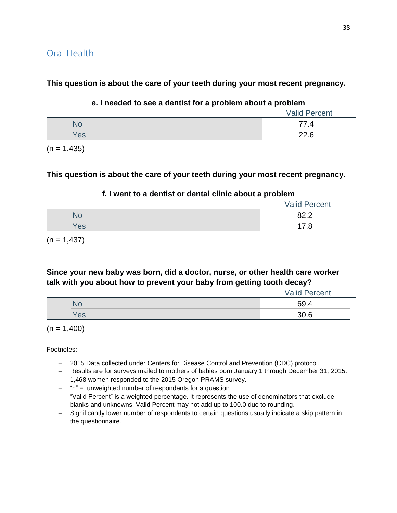Oral Health

**This question is about the care of your teeth during your most recent pregnancy.**

#### **e. I needed to see a dentist for a problem about a problem**

|     | <b>Valid Percent</b> |
|-----|----------------------|
| No  | 77.4                 |
| Yes | 22.6                 |
|     |                      |

 $(n = 1,435)$ 

**This question is about the care of your teeth during your most recent pregnancy.**

### **f. I went to a dentist or dental clinic about a problem**

|     | <b>Valid Percent</b> |
|-----|----------------------|
|     | ററ റ<br>---          |
| Yes | .8                   |

 $(n = 1,437)$ 

## **Since your new baby was born, did a doctor, nurse, or other health care worker talk with you about how to prevent your baby from getting tooth decay?**

|     | <b>Valid Percent</b> |
|-----|----------------------|
| No  | 69.4                 |
| Yes | 30.6                 |

 $(n = 1,400)$ 

- 2015 Data collected under Centers for Disease Control and Prevention (CDC) protocol.
- Results are for surveys mailed to mothers of babies born January 1 through December 31, 2015.
- 1,468 women responded to the 2015 Oregon PRAMS survey.
- $-$  "n" = unweighted number of respondents for a question.
- "Valid Percent" is a weighted percentage. It represents the use of denominators that exclude blanks and unknowns. Valid Percent may not add up to 100.0 due to rounding.
- Significantly lower number of respondents to certain questions usually indicate a skip pattern in the questionnaire.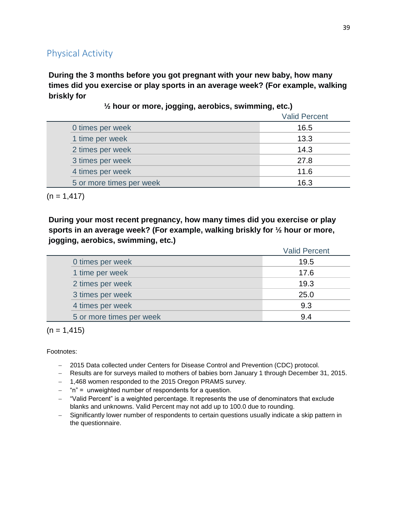# Physical Activity

**During the 3 months before you got pregnant with your new baby, how many times did you exercise or play sports in an average week? (For example, walking briskly for** 

Valid Percent 0 times per week 16.5 1 time per week 13.3 2 times per week 14.3 3 times per week 27.8 4 times per week 11.6 5 or more times per week 16.3

**½ hour or more, jogging, aerobics, swimming, etc.)**

 $(n = 1, 417)$ 

**During your most recent pregnancy, how many times did you exercise or play sports in an average week? (For example, walking briskly for ½ hour or more, jogging, aerobics, swimming, etc.)**

|                          | <b>Valid Percent</b> |
|--------------------------|----------------------|
| 0 times per week         | 19.5                 |
| 1 time per week          | 17.6                 |
| 2 times per week         | 19.3                 |
| 3 times per week         | 25.0                 |
| 4 times per week         | 9.3                  |
| 5 or more times per week | 9.4                  |

 $(n = 1, 415)$ 

- 2015 Data collected under Centers for Disease Control and Prevention (CDC) protocol.
- Results are for surveys mailed to mothers of babies born January 1 through December 31, 2015.
- 1,468 women responded to the 2015 Oregon PRAMS survey.
- $-$  "n" = unweighted number of respondents for a question.
- "Valid Percent" is a weighted percentage. It represents the use of denominators that exclude blanks and unknowns. Valid Percent may not add up to 100.0 due to rounding.
- Significantly lower number of respondents to certain questions usually indicate a skip pattern in the questionnaire.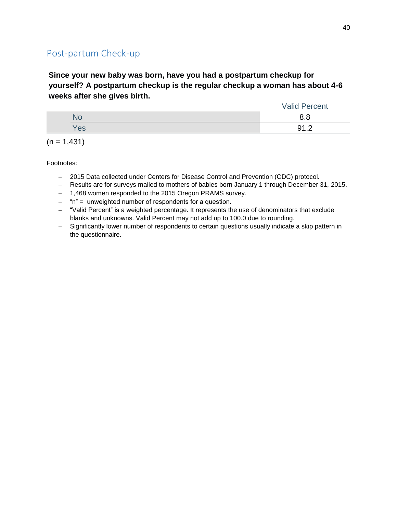# Post-partum Check-up

**Since your new baby was born, have you had a postpartum checkup for yourself? A postpartum checkup is the regular checkup a woman has about 4-6 weeks after she gives birth.**

|     | <b>Valid Percent</b> |
|-----|----------------------|
|     | ס ו                  |
| Yes | Ω1                   |

 $(n = 1,431)$ 

- 2015 Data collected under Centers for Disease Control and Prevention (CDC) protocol.
- Results are for surveys mailed to mothers of babies born January 1 through December 31, 2015.
- 1,468 women responded to the 2015 Oregon PRAMS survey.
- $-$  "n" = unweighted number of respondents for a question.
- "Valid Percent" is a weighted percentage. It represents the use of denominators that exclude blanks and unknowns. Valid Percent may not add up to 100.0 due to rounding.
- Significantly lower number of respondents to certain questions usually indicate a skip pattern in the questionnaire.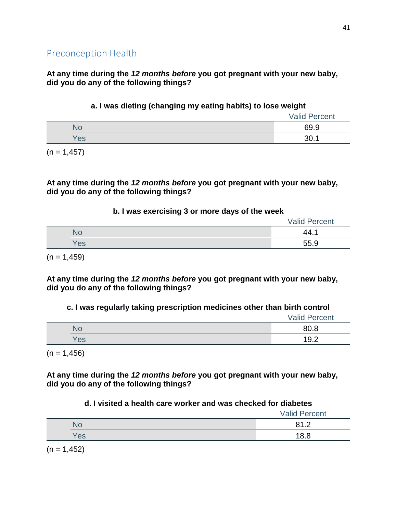**At any time during the** *12 months before* **you got pregnant with your new baby, did you do any of the following things?**

### **a. I was dieting (changing my eating habits) to lose weight**

|     | <b>Valid Percent</b> |
|-----|----------------------|
| NU  | 69.9                 |
| Yes | 30.1                 |

 $(n = 1, 457)$ 

### **At any time during the** *12 months before* **you got pregnant with your new baby, did you do any of the following things?**

### **b. I was exercising 3 or more days of the week**

|      | <b>Valid Percent</b> |
|------|----------------------|
| 'NG. | 44.                  |
| 'es  | 55.9                 |

 $(n = 1,459)$ 

**At any time during the** *12 months before* **you got pregnant with your new baby, did you do any of the following things?**

## **c. I was regularly taking prescription medicines other than birth control**

|     | <b>Valid Percent</b> |
|-----|----------------------|
| No  | 80.8                 |
| Yes | 19.2                 |

 $(n = 1,456)$ 

**At any time during the** *12 months before* **you got pregnant with your new baby, did you do any of the following things?**

## **d. I visited a health care worker and was checked for diabetes**

|     | <b>Valid Percent</b>                  |
|-----|---------------------------------------|
| NO. | 91.2<br>ັ<br>$\overline{\phantom{a}}$ |
| Yes | 18.8                                  |

 $(n = 1, 452)$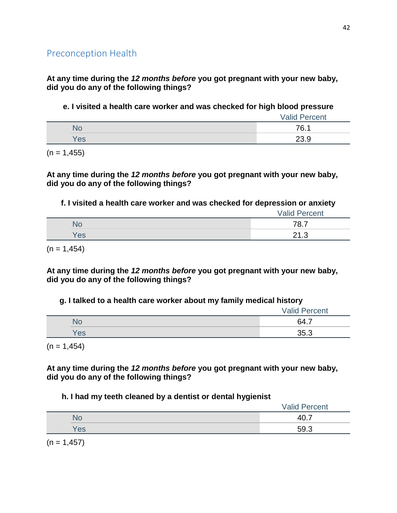**At any time during the** *12 months before* **you got pregnant with your new baby, did you do any of the following things?**

**e. I visited a health care worker and was checked for high blood pressure**

|     | <b>Valid Percent</b> |
|-----|----------------------|
| NU. | 76.1                 |
| Yes | วว ด<br>20.Y         |

 $(n = 1, 455)$ 

**At any time during the** *12 months before* **you got pregnant with your new baby, did you do any of the following things?**

**f. I visited a health care worker and was checked for depression or anxiety**

|     | <b>Valid Percent</b> |
|-----|----------------------|
| NU. | 78.7                 |
| Yes | റ∢ റ<br>ں رے         |

 $(n = 1,454)$ 

**At any time during the** *12 months before* **you got pregnant with your new baby, did you do any of the following things?**

### **g. I talked to a health care worker about my family medical history**

|     | <b>Valid Percent</b> |
|-----|----------------------|
| N٥  | 64.7                 |
| Yes | 35.3                 |

 $(n = 1, 454)$ 

**At any time during the** *12 months before* **you got pregnant with your new baby, did you do any of the following things?**

### **h. I had my teeth cleaned by a dentist or dental hygienist**

|     | <b>Valid Percent</b> |
|-----|----------------------|
|     | $\Delta \cap$        |
| Yes | 59.3                 |

 $(n = 1, 457)$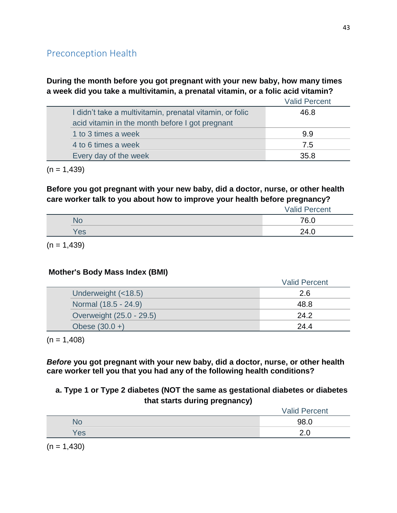**During the month before you got pregnant with your new baby, how many times a week did you take a multivitamin, a prenatal vitamin, or a folic acid vitamin?**

|                                                          | <b>Valid Percent</b> |
|----------------------------------------------------------|----------------------|
| I didn't take a multivitamin, prenatal vitamin, or folic | 46.8                 |
| acid vitamin in the month before I got pregnant          |                      |
| 1 to 3 times a week                                      | 9.9                  |
| 4 to 6 times a week                                      | 7.5                  |
| Every day of the week                                    | 35.8                 |
|                                                          |                      |

 $(n = 1,439)$ 

**Before you got pregnant with your new baby, did a doctor, nurse, or other health care worker talk to you about how to improve your health before pregnancy?**

|     | <b>Valid Percent</b> |
|-----|----------------------|
| `NO | 76.0                 |
| Yes | 24.0                 |

 $(n = 1,439)$ 

## **Mother's Body Mass Index (BMI)**

|                          | <b>Valid Percent</b> |
|--------------------------|----------------------|
| Underweight (<18.5)      | 2.6                  |
| Normal (18.5 - 24.9)     | 48.8                 |
| Overweight (25.0 - 29.5) | 24.2                 |
| Obese $(30.0 +)$         | 24.4                 |

 $(n = 1,408)$ 

*Before* **you got pregnant with your new baby, did a doctor, nurse, or other health care worker tell you that you had any of the following health conditions?**

## **a. Type 1 or Type 2 diabetes (NOT the same as gestational diabetes or diabetes that starts during pregnancy)**

|                                                                                                                                                                                                                                                                                                                                                                                      | <b>Valid Percent</b> |
|--------------------------------------------------------------------------------------------------------------------------------------------------------------------------------------------------------------------------------------------------------------------------------------------------------------------------------------------------------------------------------------|----------------------|
| No                                                                                                                                                                                                                                                                                                                                                                                   | 98.0                 |
| Yes                                                                                                                                                                                                                                                                                                                                                                                  |                      |
| $\overline{1}$ $\overline{1}$ $\overline{1}$ $\overline{1}$ $\overline{1}$ $\overline{1}$ $\overline{1}$ $\overline{1}$ $\overline{1}$ $\overline{1}$ $\overline{1}$ $\overline{1}$ $\overline{1}$ $\overline{1}$ $\overline{1}$ $\overline{1}$ $\overline{1}$ $\overline{1}$ $\overline{1}$ $\overline{1}$ $\overline{1}$ $\overline{1}$ $\overline{1}$ $\overline{1}$ $\overline{$ |                      |

 $(n = 1,430)$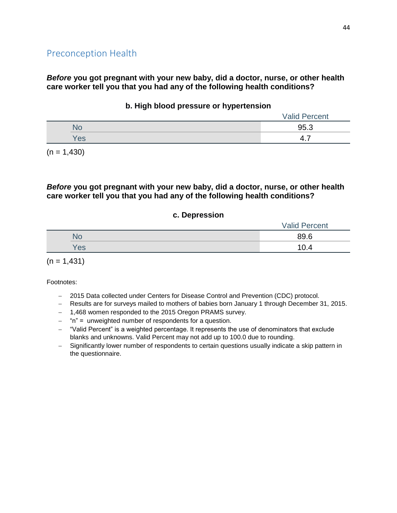*Before* **you got pregnant with your new baby, did a doctor, nurse, or other health care worker tell you that you had any of the following health conditions?**

#### **b. High blood pressure or hypertension**

|     | <b>Valid Percent</b> |
|-----|----------------------|
| 1U  | 95.3                 |
| Yes |                      |

 $(n = 1,430)$ 

### *Before* **you got pregnant with your new baby, did a doctor, nurse, or other health care worker tell you that you had any of the following health conditions?**

#### **c. Depression**

|     | <b>Valid Percent</b> |
|-----|----------------------|
| No  | 89.6                 |
| Yes | 10.4                 |

 $(n = 1,431)$ 

- 2015 Data collected under Centers for Disease Control and Prevention (CDC) protocol.
- Results are for surveys mailed to mothers of babies born January 1 through December 31, 2015.
- 1,468 women responded to the 2015 Oregon PRAMS survey.
- "n" = unweighted number of respondents for a question.
- "Valid Percent" is a weighted percentage. It represents the use of denominators that exclude blanks and unknowns. Valid Percent may not add up to 100.0 due to rounding.
- Significantly lower number of respondents to certain questions usually indicate a skip pattern in the questionnaire.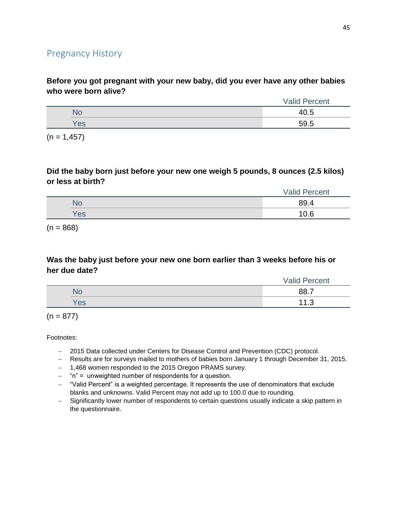# Pregnancy History

**Before you got pregnant with your new baby, did you ever have any other babies who were born alive?**

|     | Percent<br>√alid |
|-----|------------------|
|     | 40.5             |
| Yes | 59.5             |
|     |                  |

 $(n = 1, 457)$ 

### **Did the baby born just before your new one weigh 5 pounds, 8 ounces (2.5 kilos) or less at birth?**

|     | <b>Valid Percent</b> |
|-----|----------------------|
| ÑŌ  | 89.4                 |
| Yes | 10.6                 |

 $(n = 868)$ 

### **Was the baby just before your new one born earlier than 3 weeks before his or her due date?**

|     | Valid<br>Percent |
|-----|------------------|
|     | 88.7             |
| Yes | 4 A<br>ں. ا      |

 $(n = 877)$ 

- 2015 Data collected under Centers for Disease Control and Prevention (CDC) protocol.
- Results are for surveys mailed to mothers of babies born January 1 through December 31, 2015.
- 1,468 women responded to the 2015 Oregon PRAMS survey.
- "n" = unweighted number of respondents for a question.
- "Valid Percent" is a weighted percentage. It represents the use of denominators that exclude blanks and unknowns. Valid Percent may not add up to 100.0 due to rounding.
- Significantly lower number of respondents to certain questions usually indicate a skip pattern in the questionnaire.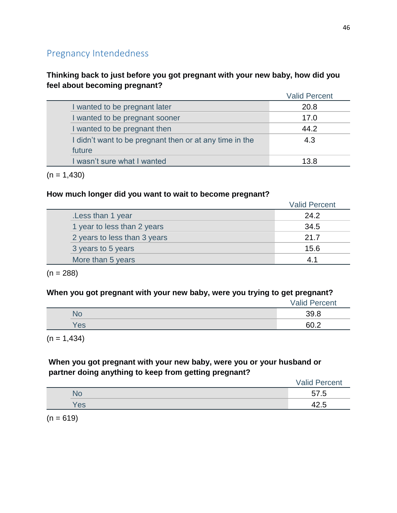# Pregnancy Intendedness

## **Thinking back to just before you got pregnant with your new baby, how did you feel about becoming pregnant?**

|                                                         | <b>Valid Percent</b> |
|---------------------------------------------------------|----------------------|
| I wanted to be pregnant later                           | 20.8                 |
| I wanted to be pregnant sooner                          | 17.0                 |
| I wanted to be pregnant then                            | 44.2                 |
| I didn't want to be pregnant then or at any time in the | 4.3                  |
| future                                                  |                      |
| I wasn't sure what I wanted                             | 13.8                 |

 $(n = 1,430)$ 

### **How much longer did you want to wait to become pregnant?**

|                              | <b>Valid Percent</b> |
|------------------------------|----------------------|
| Less than 1 year             | 24.2                 |
| 1 year to less than 2 years  | 34.5                 |
| 2 years to less than 3 years | 21.7                 |
| 3 years to 5 years           | 15.6                 |
| More than 5 years            |                      |

 $(n = 288)$ 

### **When you got pregnant with your new baby, were you trying to get pregnant?**

|     | <b>Valid Percent</b> |  |
|-----|----------------------|--|
| Nr  | 39.8                 |  |
| Yes | 60 2                 |  |

 $(n = 1,434)$ 

## **When you got pregnant with your new baby, were you or your husband or partner doing anything to keep from getting pregnant?**

|           | <b>Valid Percent</b> |
|-----------|----------------------|
| <b>NO</b> | 57.5                 |
| Yes       | -<br>72.J            |

 $(n = 619)$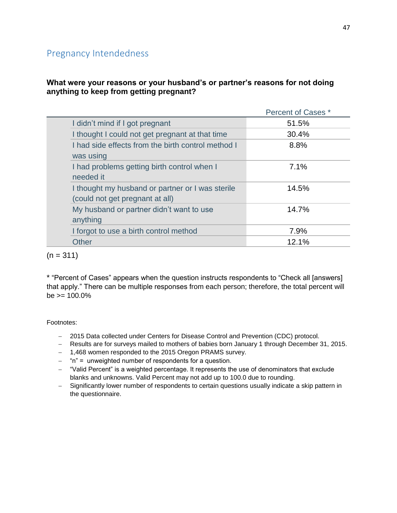# Pregnancy Intendedness

### **What were your reasons or your husband's or partner's reasons for not doing anything to keep from getting pregnant?**

|                                                                                     | Percent of Cases * |
|-------------------------------------------------------------------------------------|--------------------|
| I didn't mind if I got pregnant                                                     | 51.5%              |
| I thought I could not get pregnant at that time                                     | 30.4%              |
| I had side effects from the birth control method I<br>was using                     | 8.8%               |
| I had problems getting birth control when I<br>needed it                            | 7.1%               |
| I thought my husband or partner or I was sterile<br>(could not get pregnant at all) | 14.5%              |
| My husband or partner didn't want to use<br>anything                                | 14.7%              |
| I forgot to use a birth control method                                              | 7.9%               |
| <b>Other</b>                                                                        | 12.1%              |
|                                                                                     |                    |

 $(n = 311)$ 

\* "Percent of Cases" appears when the question instructs respondents to "Check all [answers] that apply." There can be multiple responses from each person; therefore, the total percent will  $be \ge 100.0\%$ 

- 2015 Data collected under Centers for Disease Control and Prevention (CDC) protocol.
- Results are for surveys mailed to mothers of babies born January 1 through December 31, 2015.
- 1,468 women responded to the 2015 Oregon PRAMS survey.
- $-$  "n" = unweighted number of respondents for a question.
- "Valid Percent" is a weighted percentage. It represents the use of denominators that exclude blanks and unknowns. Valid Percent may not add up to 100.0 due to rounding.
- Significantly lower number of respondents to certain questions usually indicate a skip pattern in the questionnaire.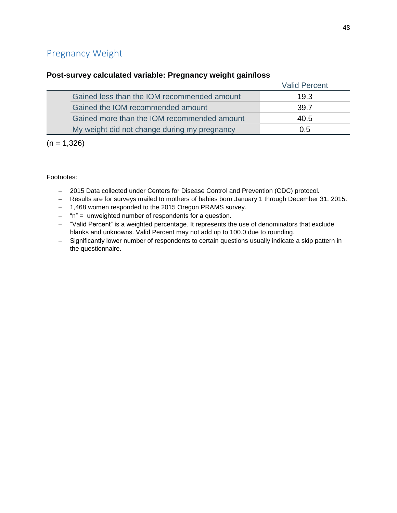# Pregnancy Weight

### **Post-survey calculated variable: Pregnancy weight gain/loss**

|                                              | <b>Valid Percent</b> |
|----------------------------------------------|----------------------|
| Gained less than the IOM recommended amount  | 19.3                 |
| Gained the IOM recommended amount            | 39.7                 |
| Gained more than the IOM recommended amount  | 40.5                 |
| My weight did not change during my pregnancy | 0.5                  |

 $(n = 1,326)$ 

- 2015 Data collected under Centers for Disease Control and Prevention (CDC) protocol.
- Results are for surveys mailed to mothers of babies born January 1 through December 31, 2015.
- 1,468 women responded to the 2015 Oregon PRAMS survey.
- $-$  "n" = unweighted number of respondents for a question.
- "Valid Percent" is a weighted percentage. It represents the use of denominators that exclude blanks and unknowns. Valid Percent may not add up to 100.0 due to rounding.
- Significantly lower number of respondents to certain questions usually indicate a skip pattern in the questionnaire.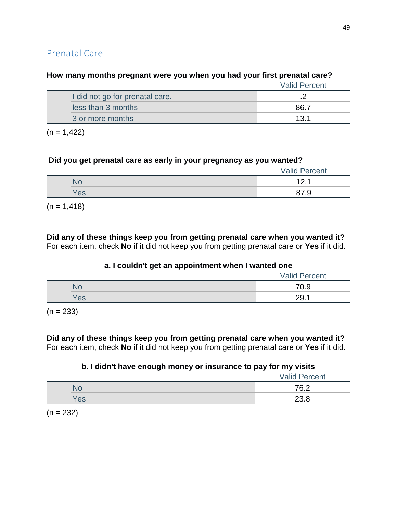# Valid Percent I did not go for prenatal care. **2** and  $\overline{a}$  2 less than 3 months 86.7 3 or more months 13.1

### **How many months pregnant were you when you had your first prenatal care?**

 $(n = 1, 422)$ 

### **Did you get prenatal care as early in your pregnancy as you wanted?**

|     | <b>Valid Percent</b> |
|-----|----------------------|
| No  | 10<br><u>.</u>       |
| Yes | 87.9                 |

 $(n = 1, 418)$ 

**Did any of these things keep you from getting prenatal care when you wanted it?** For each item, check **No** if it did not keep you from getting prenatal care or **Yes** if it did.

### **a. I couldn't get an appointment when I wanted one**

|     | <b>Valid Percent</b> |
|-----|----------------------|
| NC  | 70.9                 |
| Yes | 29.1                 |

 $(n = 233)$ 

#### **Did any of these things keep you from getting prenatal care when you wanted it?** For each item, check **No** if it did not keep you from getting prenatal care or **Yes** if it did.

### **b. I didn't have enough money or insurance to pay for my visits**

|     | <b>Valid Percent</b> |
|-----|----------------------|
| 9 U | 76.2                 |
| Yes | 23.8                 |

 $(n = 232)$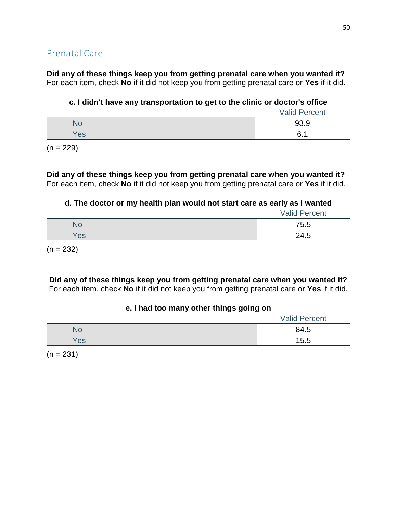**Did any of these things keep you from getting prenatal care when you wanted it?** For each item, check **No** if it did not keep you from getting prenatal care or **Yes** if it did.

### **c. I didn't have any transportation to get to the clinic or doctor's office**

|     | <b>Valid Percent</b> |
|-----|----------------------|
|     | 93.9                 |
| Yes | 6                    |
|     |                      |

 $(n = 229)$ 

**Did any of these things keep you from getting prenatal care when you wanted it?** For each item, check **No** if it did not keep you from getting prenatal care or **Yes** if it did.

### **d. The doctor or my health plan would not start care as early as I wanted**

|     | <b>Valid Percent</b> |
|-----|----------------------|
| NU. | 75.5                 |
| Yes | 24.5                 |

 $(n = 232)$ 

**Did any of these things keep you from getting prenatal care when you wanted it?** For each item, check **No** if it did not keep you from getting prenatal care or **Yes** if it did.

### **e. I had too many other things going on**

|     | <b>Valid Percent</b> |
|-----|----------------------|
| N٥  | 84.5                 |
| Yes | 15.5                 |

 $(n = 231)$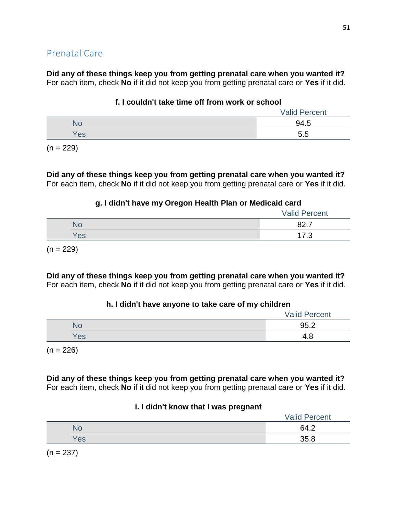**Did any of these things keep you from getting prenatal care when you wanted it?** For each item, check **No** if it did not keep you from getting prenatal care or **Yes** if it did.

### **f. I couldn't take time off from work or school**

|     | <b>Valid Percent</b> |
|-----|----------------------|
|     | 94.5                 |
| Yes | 5.5                  |

 $(n = 229)$ 

**Did any of these things keep you from getting prenatal care when you wanted it?** For each item, check **No** if it did not keep you from getting prenatal care or **Yes** if it did.

## **g. I didn't have my Oregon Health Plan or Medicaid card**

|     | <b>Valid Percent</b> |
|-----|----------------------|
| No  | 027<br>04. I         |
| Yes | 17 O<br>             |

 $(n = 229)$ 

**Did any of these things keep you from getting prenatal care when you wanted it?** For each item, check **No** if it did not keep you from getting prenatal care or **Yes** if it did.

## **h. I didn't have anyone to take care of my children**

|     | <b>Valid Percent</b> |
|-----|----------------------|
|     | 95.2                 |
| Yes | 4.O                  |
|     |                      |

 $(n = 226)$ 

**Did any of these things keep you from getting prenatal care when you wanted it?** For each item, check **No** if it did not keep you from getting prenatal care or **Yes** if it did.

### **i. I didn't know that I was pregnant**

|     | <b>Valid Percent</b> |
|-----|----------------------|
|     | 64.2                 |
| Yes | 35.8                 |

 $(n = 237)$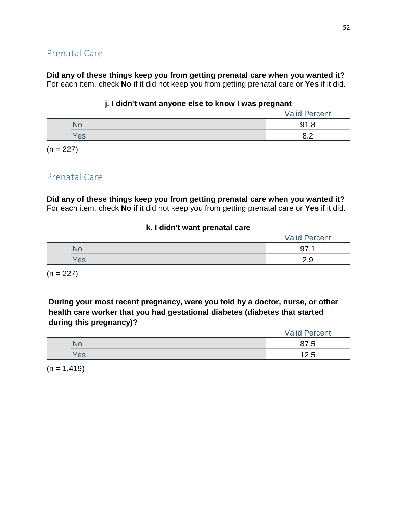**Did any of these things keep you from getting prenatal care when you wanted it?** For each item, check **No** if it did not keep you from getting prenatal care or **Yes** if it did.

### **j. I didn't want anyone else to know I was pregnant**

|                 | 91.8 |
|-----------------|------|
| es <sup>/</sup> |      |

 $(n = 227)$ 

# Prenatal Care

**Did any of these things keep you from getting prenatal care when you wanted it?** For each item, check **No** if it did not keep you from getting prenatal care or **Yes** if it did.

#### **k. I didn't want prenatal care**

|     | <b>Valid Percent</b> |
|-----|----------------------|
|     | די                   |
| Yes | ت.ء                  |

 $(n = 227)$ 

**During your most recent pregnancy, were you told by a doctor, nurse, or other health care worker that you had gestational diabetes (diabetes that started during this pregnancy)?**

|     | <b>Valid Percent</b> |
|-----|----------------------|
| No  | 87.5                 |
| Yes | 12.5                 |

 $(n = 1, 419)$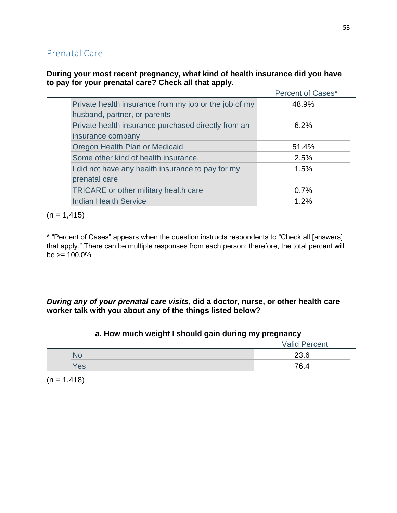### **During your most recent pregnancy, what kind of health insurance did you have to pay for your prenatal care? Check all that apply.**

|                                                       | Percent of Cases* |
|-------------------------------------------------------|-------------------|
| Private health insurance from my job or the job of my | 48.9%             |
| husband, partner, or parents                          |                   |
| Private health insurance purchased directly from an   | 6.2%              |
| insurance company                                     |                   |
| Oregon Health Plan or Medicaid                        | 51.4%             |
| Some other kind of health insurance.                  | 2.5%              |
| I did not have any health insurance to pay for my     | 1.5%              |
| prenatal care                                         |                   |
| <b>TRICARE</b> or other military health care          | 0.7%              |
| <b>Indian Health Service</b>                          | 1.2%              |

 $(n = 1, 415)$ 

\* "Percent of Cases" appears when the question instructs respondents to "Check all [answers] that apply." There can be multiple responses from each person; therefore, the total percent will  $be \ge 100.0\%$ 

## *During any of your prenatal care visits***, did a doctor, nurse, or other health care worker talk with you about any of the things listed below?**

|     | -<br>- | .<br><b>Valid Percent</b> |
|-----|--------|---------------------------|
| NO  |        | 23.6                      |
| Yes |        | 76.4                      |

## **a. How much weight I should gain during my pregnancy**

 $(n = 1, 418)$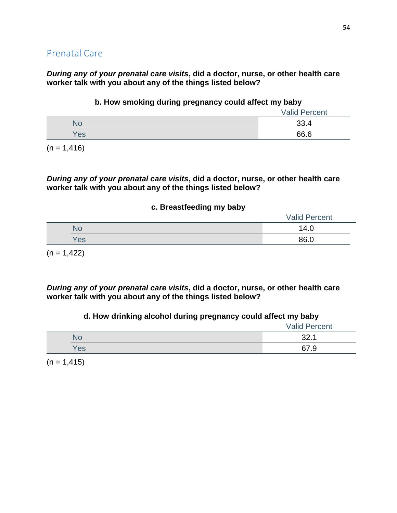*During any of your prenatal care visits***, did a doctor, nurse, or other health care worker talk with you about any of the things listed below?**

### **b. How smoking during pregnancy could affect my baby**

|     | <b>Valid Percent</b> |
|-----|----------------------|
|     | 33.4                 |
| Yes | 66.6                 |

 $(n = 1, 416)$ 

*During any of your prenatal care visits***, did a doctor, nurse, or other health care worker talk with you about any of the things listed below?**

#### **c. Breastfeeding my baby**

|  |     | <b>Valid Percent</b> |
|--|-----|----------------------|
|  | NO  | 14.0                 |
|  | Yes | 86.0                 |
|  |     |                      |

 $(n = 1, 422)$ 

*During any of your prenatal care visits***, did a doctor, nurse, or other health care worker talk with you about any of the things listed below?**

### **d. How drinking alcohol during pregnancy could affect my baby**

|     | <b>Valid Percent</b> |
|-----|----------------------|
| NO  | ??<br>. . ∠ت         |
| Yes | 67.9                 |

 $(n = 1, 415)$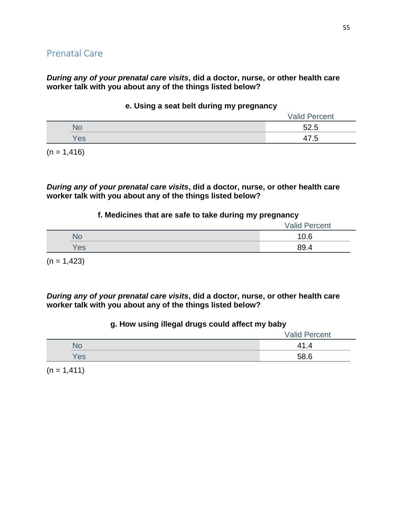### *During any of your prenatal care visits***, did a doctor, nurse, or other health care worker talk with you about any of the things listed below?**

|     | <b>Valid Percent</b> |
|-----|----------------------|
| INO | 52.5                 |
| Yes | 17 斥<br>47.5         |

#### **e. Using a seat belt during my pregnancy**

 $(n = 1, 416)$ 

*During any of your prenatal care visits***, did a doctor, nurse, or other health care worker talk with you about any of the things listed below?**

#### **f. Medicines that are safe to take during my pregnancy**

|     | <b>Valid Percent</b> |
|-----|----------------------|
| NO  | 10.6                 |
| Yes | 89.4                 |

 $(n = 1,423)$ 

*During any of your prenatal care visits***, did a doctor, nurse, or other health care worker talk with you about any of the things listed below?**

#### **g. How using illegal drugs could affect my baby**

|     | <b>Valid Percent</b> |
|-----|----------------------|
| No  | 41.4                 |
| Yes | 58.6                 |

 $(n = 1, 411)$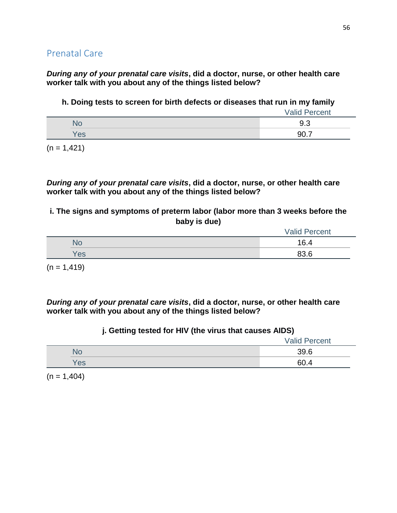*During any of your prenatal care visits***, did a doctor, nurse, or other health care worker talk with you about any of the things listed below?**

**h. Doing tests to screen for birth defects or diseases that run in my family**

|     | <b>Valid Percent</b> |
|-----|----------------------|
|     | 9.3                  |
| Yes | 90.                  |

 $(n = 1, 421)$ 

*During any of your prenatal care visits***, did a doctor, nurse, or other health care worker talk with you about any of the things listed below?**

**i. The signs and symptoms of preterm labor (labor more than 3 weeks before the baby is due)**

|     | <b>Valid Percent</b> |
|-----|----------------------|
| No  | 16.4                 |
| Yes | 23 R<br>00.C         |

 $(n = 1, 419)$ 

*During any of your prenatal care visits***, did a doctor, nurse, or other health care worker talk with you about any of the things listed below?**

## **j. Getting tested for HIV (the virus that causes AIDS)**

|     | <b>Valid Percent</b> |
|-----|----------------------|
|     | 39.6                 |
| Yes | 60.4                 |

 $(n = 1,404)$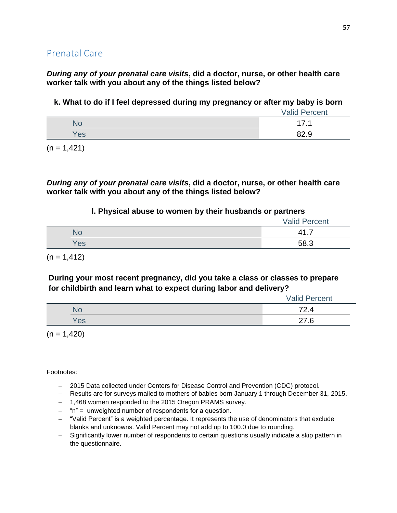*During any of your prenatal care visits***, did a doctor, nurse, or other health care worker talk with you about any of the things listed below?**

**k. What to do if I feel depressed during my pregnancy or after my baby is born**

|     | <b>Valid Percent</b> |
|-----|----------------------|
|     | 17<br>◢              |
| Yes | 82 Q                 |

 $(n = 1, 421)$ 

*During any of your prenatal care visits***, did a doctor, nurse, or other health care worker talk with you about any of the things listed below?**

#### **l. Physical abuse to women by their husbands or partners**

|     | <b>Valid Percent</b> |
|-----|----------------------|
| NC. | $\Lambda^{\bullet}$  |
| 'es | 58.?                 |

 $(n = 1, 412)$ 

**During your most recent pregnancy, did you take a class or classes to prepare for childbirth and learn what to expect during labor and delivery?**

|     | <b>Valid Percent</b>           |
|-----|--------------------------------|
| NG  | $70^{\circ}$<br>$\overline{4}$ |
| es/ | $\sim$                         |

 $(n = 1,420)$ 

- 2015 Data collected under Centers for Disease Control and Prevention (CDC) protocol.
- Results are for surveys mailed to mothers of babies born January 1 through December 31, 2015.
- 1,468 women responded to the 2015 Oregon PRAMS survey.
- $-$  "n" = unweighted number of respondents for a question.
- "Valid Percent" is a weighted percentage. It represents the use of denominators that exclude blanks and unknowns. Valid Percent may not add up to 100.0 due to rounding.
- Significantly lower number of respondents to certain questions usually indicate a skip pattern in the questionnaire.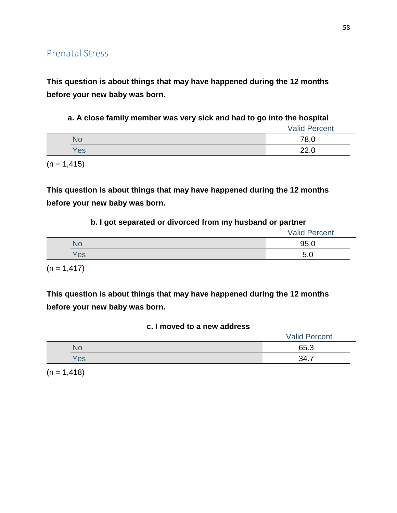**This question is about things that may have happened during the 12 months before your new baby was born.**

**a. A close family member was very sick and had to go into the hospital**

|     | <b>Valid Percent</b> |
|-----|----------------------|
| ٧О  | 78.0                 |
| Yes | ററ ല<br>ZZ.U         |

 $(n = 1, 415)$ 

**This question is about things that may have happened during the 12 months before your new baby was born.**

#### **b. I got separated or divorced from my husband or partner**

|     | <b>Valid Percent</b> |
|-----|----------------------|
| NС  | 95.0                 |
| Yes | -                    |

 $(n = 1, 417)$ 

**This question is about things that may have happened during the 12 months before your new baby was born.**

### **c. I moved to a new address**

|     | <b>Valid Percent</b> |
|-----|----------------------|
| שע  | 65.3                 |
| Yes | <b>24 7</b>          |

 $(n = 1, 418)$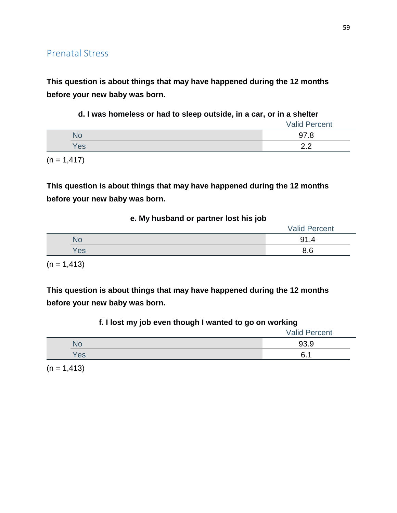**This question is about things that may have happened during the 12 months before your new baby was born.**

|  |  |  | d. I was homeless or had to sleep outside, in a car, or in a shelter |  |  |  |  |  |  |  |
|--|--|--|----------------------------------------------------------------------|--|--|--|--|--|--|--|
|--|--|--|----------------------------------------------------------------------|--|--|--|--|--|--|--|

|     | <b>Valid Percent</b> |
|-----|----------------------|
|     | 97.8                 |
| Yes | <u>ດ ດ</u>           |
|     |                      |

 $(n = 1, 417)$ 

**This question is about things that may have happened during the 12 months before your new baby was born.**

|     | <b>Valid Percent</b> |
|-----|----------------------|
| NC  | 91.4                 |
| Yes | 8.6                  |
|     |                      |

 $(n = 1, 413)$ 

**This question is about things that may have happened during the 12 months before your new baby was born.**

| f. I lost my job even though I wanted to go on working |  |  |  |
|--------------------------------------------------------|--|--|--|
|--------------------------------------------------------|--|--|--|

| - - | $\overline{\phantom{0}}$<br>$\overline{\phantom{0}}$<br>$\overline{\phantom{0}}$<br><b>Valid Percent</b> |
|-----|----------------------------------------------------------------------------------------------------------|
|     | 93.9                                                                                                     |
| Yes | 6.<br>A                                                                                                  |

 $(n = 1, 413)$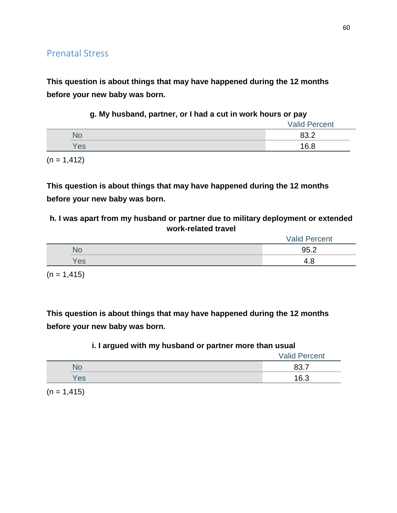**This question is about things that may have happened during the 12 months before your new baby was born.**

|  |  |  |  | g. My husband, partner, or I had a cut in work hours or pay |  |
|--|--|--|--|-------------------------------------------------------------|--|
|--|--|--|--|-------------------------------------------------------------|--|

|     | <b>Valid Percent</b> |
|-----|----------------------|
| ÑŌ  | 83.2                 |
| Yes | 16.8                 |

 $(n = 1, 412)$ 

**This question is about things that may have happened during the 12 months before your new baby was born.**

**h. I was apart from my husband or partner due to military deployment or extended work-related travel**

|            | <b>Valid Percent</b> |
|------------|----------------------|
| No         | 95.2                 |
| <b>Yes</b> | 4                    |

 $(n = 1, 415)$ 

**This question is about things that may have happened during the 12 months before your new baby was born.**

### **i. I argued with my husband or partner more than usual**

|     | <b>Valid Percent</b> |
|-----|----------------------|
| N٥  | 00. I                |
| Yes | 16.3                 |

 $(n = 1, 415)$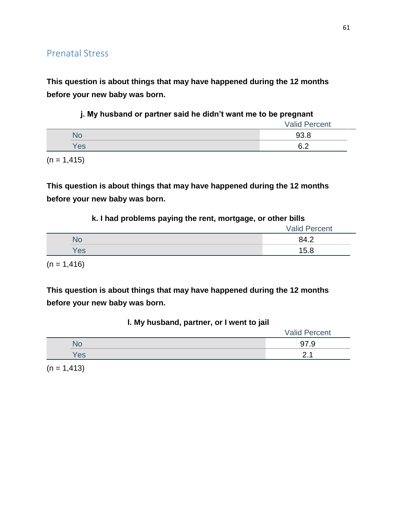**This question is about things that may have happened during the 12 months before your new baby was born.**

|     | <b>Valid Percent</b> |
|-----|----------------------|
|     | 93.8                 |
| Yes | <u>ົດ</u>            |

 $(n = 1, 415)$ 

**This question is about things that may have happened during the 12 months before your new baby was born.**

### **k. I had problems paying the rent, mortgage, or other bills**

|     | <b>Valid Percent</b> |
|-----|----------------------|
|     | 84.2                 |
| Yes | 15.8                 |
|     |                      |

 $(n = 1, 416)$ 

**This question is about things that may have happened during the 12 months before your new baby was born.**

| I. My husband, partner, or I went to jail |  |  |  |
|-------------------------------------------|--|--|--|
|-------------------------------------------|--|--|--|

|                 | <b>Valid Percent</b> |
|-----------------|----------------------|
|                 | 97.9                 |
| es <sup>'</sup> | - -                  |

 $(n = 1, 413)$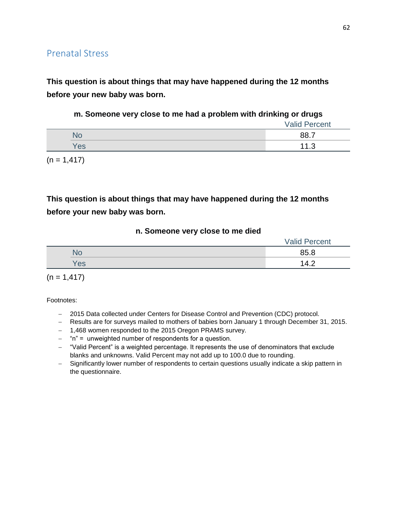**This question is about things that may have happened during the 12 months before your new baby was born.**

### **m. Someone very close to me had a problem with drinking or drugs**

|     | <b>Valid Percent</b> |
|-----|----------------------|
|     | 88.7                 |
| Yes | 11 O<br>ں. ا         |

 $(n = 1, 417)$ 

# **This question is about things that may have happened during the 12 months before your new baby was born.**

#### **n. Someone very close to me died**

|           | <b>Valid Percent</b> |
|-----------|----------------------|
| <b>No</b> | 85.8                 |
| Yes       | 14.2                 |

 $(n = 1, 417)$ 

- 2015 Data collected under Centers for Disease Control and Prevention (CDC) protocol.
- Results are for surveys mailed to mothers of babies born January 1 through December 31, 2015.
- 1,468 women responded to the 2015 Oregon PRAMS survey.
- "n" = unweighted number of respondents for a question.
- "Valid Percent" is a weighted percentage. It represents the use of denominators that exclude blanks and unknowns. Valid Percent may not add up to 100.0 due to rounding.
- Significantly lower number of respondents to certain questions usually indicate a skip pattern in the questionnaire.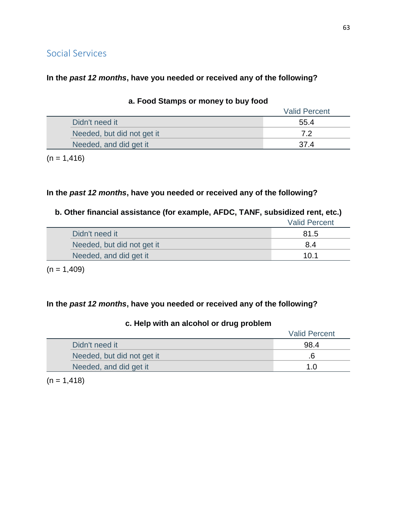# Social Services

### **In the** *past 12 months***, have you needed or received any of the following?**

|                            | <b>Valid Percent</b> |
|----------------------------|----------------------|
| Didn't need it             | 55.4                 |
| Needed, but did not get it | 72                   |
| Needed, and did get it     |                      |
|                            |                      |

#### **a. Food Stamps or money to buy food**

 $(n = 1, 416)$ 

## **In the** *past 12 months***, have you needed or received any of the following?**

## **b. Other financial assistance (for example, AFDC, TANF, subsidized rent, etc.)**

|                            | <b>Valid Percent</b> |
|----------------------------|----------------------|
| Didn't need it             | 81.5                 |
| Needed, but did not get it | 84                   |
| Needed, and did get it     | 10.1                 |

 $(n = 1,409)$ 

## **In the** *past 12 months***, have you needed or received any of the following?**

# Valid Percent Didn't need it 98.4 Needed, but did not get it ... The set of the set of the set of the set of the set of the set of the set of the set of the set of the set of the set of the set of the set of the set of the set of the set of the set of the Needed, and did get it 1.0

### **c. Help with an alcohol or drug problem**

 $(n = 1, 418)$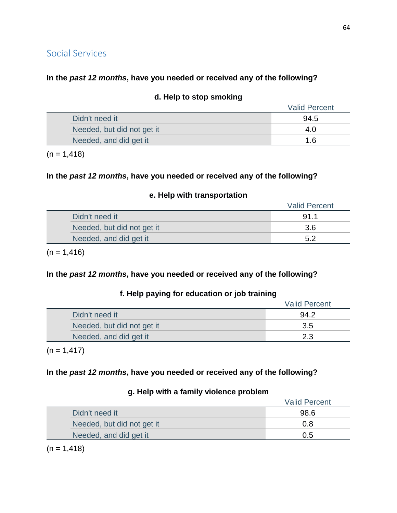# Social Services

## **In the** *past 12 months***, have you needed or received any of the following?**

|                            | <b>Valid Percent</b> |
|----------------------------|----------------------|
| Didn't need it             | 94.5                 |
| Needed, but did not get it | 4.0                  |
| Needed, and did get it     | 1.6                  |

### **d. Help to stop smoking**

 $(n = 1, 418)$ 

## **In the** *past 12 months***, have you needed or received any of the following?**

#### **e. Help with transportation**

|                            | <b>Valid Percent</b> |
|----------------------------|----------------------|
| Didn't need it             | 91.1                 |
| Needed, but did not get it | 3.6                  |
| Needed, and did get it     | 5.2                  |

 $(n = 1, 416)$ 

## **In the** *past 12 months***, have you needed or received any of the following?**

## **f. Help paying for education or job training**

|                            | <b>Valid Percent</b> |
|----------------------------|----------------------|
| Didn't need it             | 94.2                 |
| Needed, but did not get it | 3.5                  |
| Needed, and did get it     | 2.3                  |

 $(n = 1, 417)$ 

## **In the** *past 12 months***, have you needed or received any of the following?**

### **g. Help with a family violence problem**

|                            | <b>Valid Percent</b> |
|----------------------------|----------------------|
| Didn't need it             | 98.6                 |
| Needed, but did not get it | 0.8                  |
| Needed, and did get it     | 0.5                  |

 $(n = 1, 418)$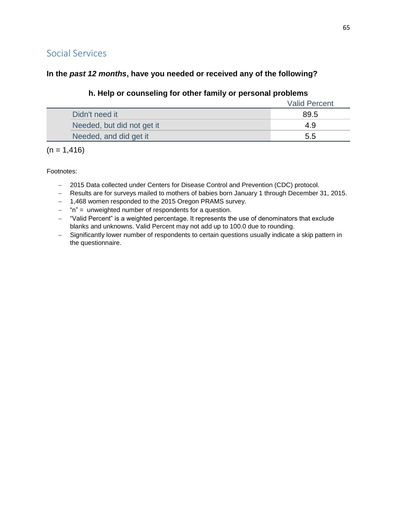# Social Services

## **In the** *past 12 months***, have you needed or received any of the following?**

## **h. Help or counseling for other family or personal problems**

|                            | <b>Valid Percent</b> |
|----------------------------|----------------------|
| Didn't need it             | 89.5                 |
| Needed, but did not get it | 49                   |
| Needed, and did get it     | 5.5                  |

 $(n = 1, 416)$ 

- 2015 Data collected under Centers for Disease Control and Prevention (CDC) protocol.
- Results are for surveys mailed to mothers of babies born January 1 through December 31, 2015.
- 1,468 women responded to the 2015 Oregon PRAMS survey.
- $-$  "n" = unweighted number of respondents for a question.
- "Valid Percent" is a weighted percentage. It represents the use of denominators that exclude blanks and unknowns. Valid Percent may not add up to 100.0 due to rounding.
- Significantly lower number of respondents to certain questions usually indicate a skip pattern in the questionnaire.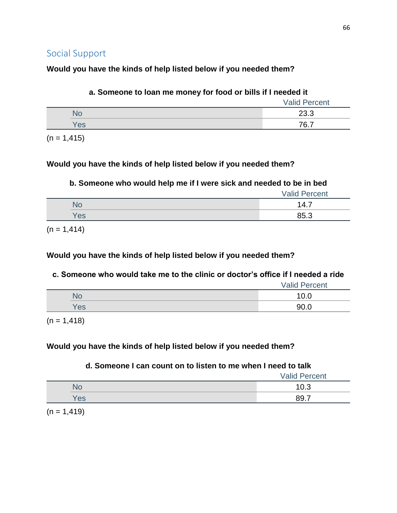## **Would you have the kinds of help listed below if you needed them?**

| a. Someone to loan me money for food or bills if I needed it |                      |
|--------------------------------------------------------------|----------------------|
|                                                              | <b>Valid Percent</b> |
| <b>No</b>                                                    | 23.3                 |
| Yes                                                          | 76 7                 |

 $(n = 1, 415)$ 

## **Would you have the kinds of help listed below if you needed them?**

## **b. Someone who would help me if I were sick and needed to be in bed**

|     | <b>Valid Percent</b> |
|-----|----------------------|
|     | 14.7                 |
| Yes | 85.3                 |

 $(n = 1, 414)$ 

## **Would you have the kinds of help listed below if you needed them?**

## **c. Someone who would take me to the clinic or doctor's office if I needed a ride**

|     | <b>Valid Percent</b> |
|-----|----------------------|
| NС  | 1 V.U                |
| Yes | 90.                  |

 $(n = 1, 418)$ 

## **Would you have the kinds of help listed below if you needed them?**

## **d. Someone I can count on to listen to me when I need to talk**

|     | <b>Valid Percent</b> |
|-----|----------------------|
| ЧU  | ν.υ                  |
| Yes | 89.<br>-             |

 $(n = 1, 419)$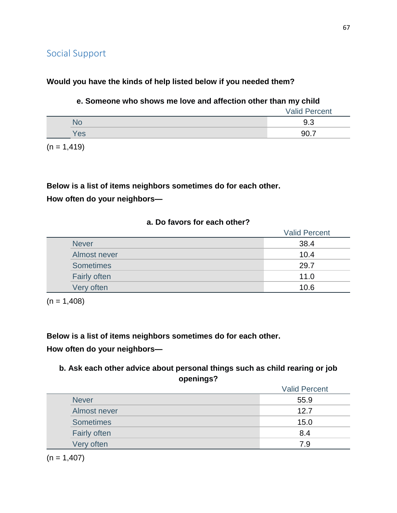## **Would you have the kinds of help listed below if you needed them?**

### **e. Someone who shows me love and affection other than my child**

|     | <b>Valid Percent</b> |
|-----|----------------------|
| No  | 9.3                  |
| Yes | 90.7                 |
|     |                      |

 $(n = 1, 419)$ 

# **Below is a list of items neighbors sometimes do for each other. How often do your neighbors—**

## **a. Do favors for each other?**

|                     | <b>Valid Percent</b> |
|---------------------|----------------------|
| <b>Never</b>        | 38.4                 |
| Almost never        | 10.4                 |
| <b>Sometimes</b>    | 29.7                 |
| <b>Fairly often</b> | 11.0                 |
| Very often          | 10.6                 |

 $(n = 1,408)$ 

**Below is a list of items neighbors sometimes do for each other. How often do your neighbors—**

## **b. Ask each other advice about personal things such as child rearing or job openings?**

|                  | <b>Valid Percent</b> |
|------------------|----------------------|
| <b>Never</b>     | 55.9                 |
| Almost never     | 12.7                 |
| <b>Sometimes</b> | 15.0                 |
| Fairly often     | 8.4                  |
| Very often       | 7.9                  |
|                  |                      |

 $(n = 1,407)$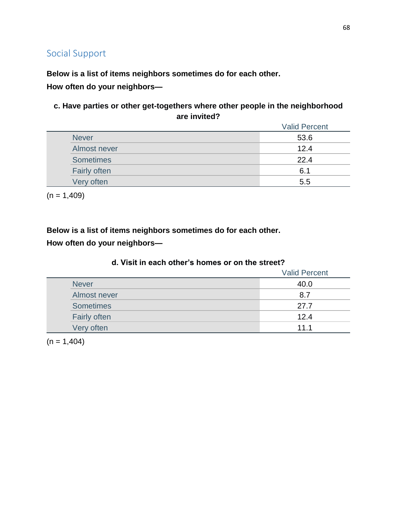**Below is a list of items neighbors sometimes do for each other.**

**How often do your neighbors—**

**c. Have parties or other get-togethers where other people in the neighborhood are invited?**

|                  | <b>Valid Percent</b> |
|------------------|----------------------|
| <b>Never</b>     | 53.6                 |
| Almost never     | 12.4                 |
| <b>Sometimes</b> | 22.4                 |
| Fairly often     | 6.1                  |
| Very often       | 5.5                  |

 $(n = 1,409)$ 

**Below is a list of items neighbors sometimes do for each other.**

**How often do your neighbors—**

|                     | <b>Valid Percent</b> |
|---------------------|----------------------|
| <b>Never</b>        | 40.0                 |
| Almost never        | 8.7                  |
| <b>Sometimes</b>    | 27.7                 |
| <b>Fairly often</b> | 12.4                 |
| Very often          | 11.1                 |

### **d. Visit in each other's homes or on the street?**

 $(n = 1,404)$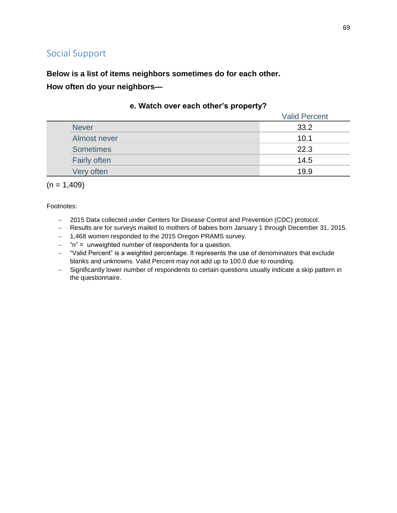**Below is a list of items neighbors sometimes do for each other.**

**How often do your neighbors—**

|                     | <b>Valid Percent</b> |
|---------------------|----------------------|
| <b>Never</b>        | 33.2                 |
| Almost never        | 10.1                 |
| <b>Sometimes</b>    | 22.3                 |
| <b>Fairly often</b> | 14.5                 |
| Very often          | 19.9                 |

### **e. Watch over each other's property?**

 $(n = 1,409)$ 

- 2015 Data collected under Centers for Disease Control and Prevention (CDC) protocol.
- Results are for surveys mailed to mothers of babies born January 1 through December 31, 2015.
- 1,468 women responded to the 2015 Oregon PRAMS survey.
- $-$  "n" = unweighted number of respondents for a question.
- "Valid Percent" is a weighted percentage. It represents the use of denominators that exclude blanks and unknowns. Valid Percent may not add up to 100.0 due to rounding.
- Significantly lower number of respondents to certain questions usually indicate a skip pattern in the questionnaire.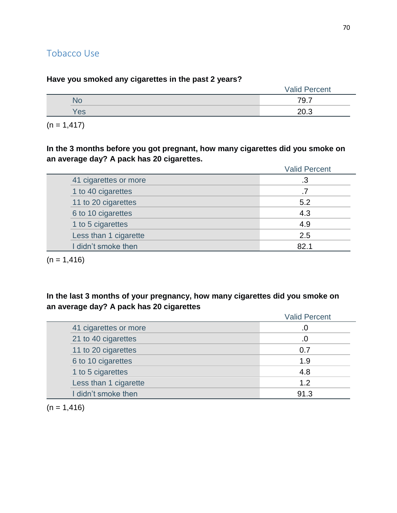# Tobacco Use

| -<br>. .       | . .<br>-<br><b>Valid Percent</b> |
|----------------|----------------------------------|
| No             | 79.7                             |
| <b>Yes</b>     | 20.3                             |
| $(n = 1, 417)$ |                                  |

**Have you smoked any cigarettes in the past 2 years?**

**In the 3 months before you got pregnant, how many cigarettes did you smoke on an average day? A pack has 20 cigarettes.**

|                       | <b>Valid Percent</b> |
|-----------------------|----------------------|
| 41 cigarettes or more | .3                   |
| 1 to 40 cigarettes    |                      |
| 11 to 20 cigarettes   | 5.2                  |
| 6 to 10 cigarettes    | 4.3                  |
| 1 to 5 cigarettes     | 4.9                  |
| Less than 1 cigarette | 2.5                  |
| I didn't smoke then   | 82.1                 |

 $(n = 1, 416)$ 

**In the last 3 months of your pregnancy, how many cigarettes did you smoke on an average day? A pack has 20 cigarettes**

|                       | <b>Valid Percent</b> |
|-----------------------|----------------------|
| 41 cigarettes or more | .0                   |
| 21 to 40 cigarettes   | .0                   |
| 11 to 20 cigarettes   | 0.7                  |
| 6 to 10 cigarettes    | 1.9                  |
| 1 to 5 cigarettes     | 4.8                  |
| Less than 1 cigarette | 1.2                  |
| I didn't smoke then   | 91.3                 |

 $(n = 1, 416)$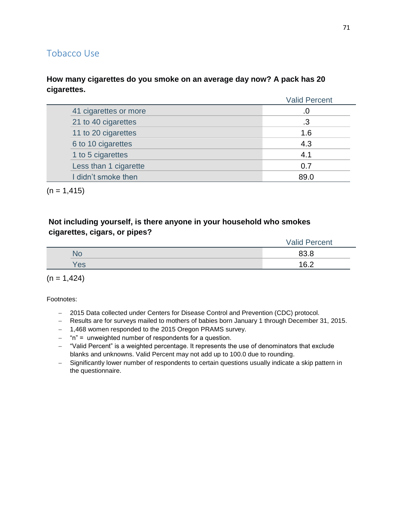# Tobacco Use

### **How many cigarettes do you smoke on an average day now? A pack has 20 cigarettes.**

|                       | <b>Valid Percent</b> |
|-----------------------|----------------------|
| 41 cigarettes or more |                      |
| 21 to 40 cigarettes   | .3                   |
| 11 to 20 cigarettes   | 1.6                  |
| 6 to 10 cigarettes    | 4.3                  |
| 1 to 5 cigarettes     | 4.1                  |
| Less than 1 cigarette | 0.7                  |
| I didn't smoke then   | 89.0                 |

 $(n = 1, 415)$ 

## **Not including yourself, is there anyone in your household who smokes cigarettes, cigars, or pipes?**

|     | <b>Valid Percent</b> |
|-----|----------------------|
| No  | 83.8                 |
| Yes | 16 $\Omega$          |

 $(n = 1, 424)$ 

- 2015 Data collected under Centers for Disease Control and Prevention (CDC) protocol.
- Results are for surveys mailed to mothers of babies born January 1 through December 31, 2015.
- 1,468 women responded to the 2015 Oregon PRAMS survey.
- $-$  "n" = unweighted number of respondents for a question.
- "Valid Percent" is a weighted percentage. It represents the use of denominators that exclude blanks and unknowns. Valid Percent may not add up to 100.0 due to rounding.
- Significantly lower number of respondents to certain questions usually indicate a skip pattern in the questionnaire.